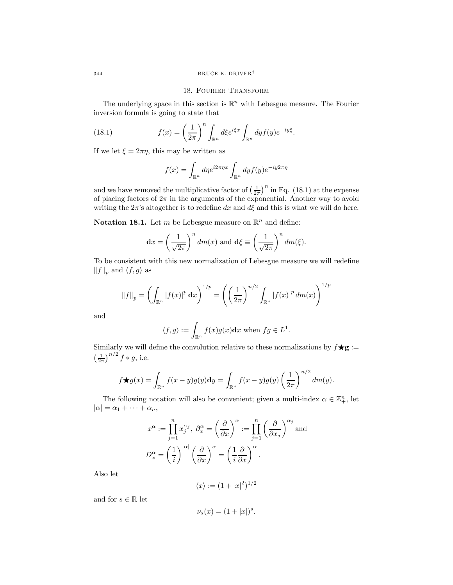### 18. Fourier Transform

The underlying space in this section is  $\mathbb{R}^n$  with Lebesgue measure. The Fourier inversion formula is going to state that

(18.1) 
$$
f(x) = \left(\frac{1}{2\pi}\right)^n \int_{\mathbb{R}^n} d\xi e^{i\xi x} \int_{\mathbb{R}^n} dy f(y) e^{-iy\xi}.
$$

If we let  $\xi = 2\pi\eta$ , this may be written as

$$
f(x) = \int_{\mathbb{R}^n} d\eta e^{i2\pi\eta x} \int_{\mathbb{R}^n} dy f(y) e^{-iy2\pi\eta}
$$

and we have removed the multiplicative factor of  $\left(\frac{1}{2\pi}\right)^n$  in Eq. (18.1) at the expense of placing factors of  $2\pi$  in the arguments of the exponential. Another way to avoid writing the  $2\pi$ 's altogether is to redefine dx and d $\xi$  and this is what we will do here.

**Notation 18.1.** Let m be Lebesgue measure on  $\mathbb{R}^n$  and define:

$$
\mathbf{d}x = \left(\frac{1}{\sqrt{2\pi}}\right)^n dm(x) \text{ and } \mathbf{d}\xi \equiv \left(\frac{1}{\sqrt{2\pi}}\right)^n dm(\xi).
$$

To be consistent with this new normalization of Lebesgue measure we will redefine  $||f||_p$  and  $\langle f,g \rangle$  as

$$
||f||_p = \left(\int_{\mathbb{R}^n} |f(x)|^p \, dx\right)^{1/p} = \left(\left(\frac{1}{2\pi}\right)^{n/2} \int_{\mathbb{R}^n} |f(x)|^p \, dm(x)\right)^{1/p}
$$

and

$$
\langle f, g \rangle := \int_{\mathbb{R}^n} f(x)g(x)dx
$$
 when  $fg \in L^1$ .

Similarly we will define the convolution relative to these normalizations by  $f \star g :=$  $\left(\frac{1}{2\pi}\right)^{n/2} f * g$ , i.e.

$$
f \bigstar g(x) = \int_{\mathbb{R}^n} f(x - y)g(y) \mathrm{d}y = \int_{\mathbb{R}^n} f(x - y)g(y) \left(\frac{1}{2\pi}\right)^{n/2} dm(y).
$$

The following notation will also be convenient; given a multi-index  $\alpha \in \mathbb{Z}_+^n$ , let  $|\alpha| = \alpha_1 + \cdots + \alpha_n,$ 

$$
x^{\alpha} := \prod_{j=1}^{n} x_j^{\alpha_j}, \ \partial_x^{\alpha} = \left(\frac{\partial}{\partial x}\right)^{\alpha} := \prod_{j=1}^{n} \left(\frac{\partial}{\partial x_j}\right)^{\alpha_j}
$$
and
$$
D_x^{\alpha} = \left(\frac{1}{i}\right)^{|\alpha|} \left(\frac{\partial}{\partial x}\right)^{\alpha} = \left(\frac{1}{i}\frac{\partial}{\partial x}\right)^{\alpha}.
$$

Also let

$$
\langle x \rangle := (1+|x|^2)^{1/2}
$$

and for  $s \in \mathbb{R}$  let

$$
\nu_s(x) = (1+|x|)^s.
$$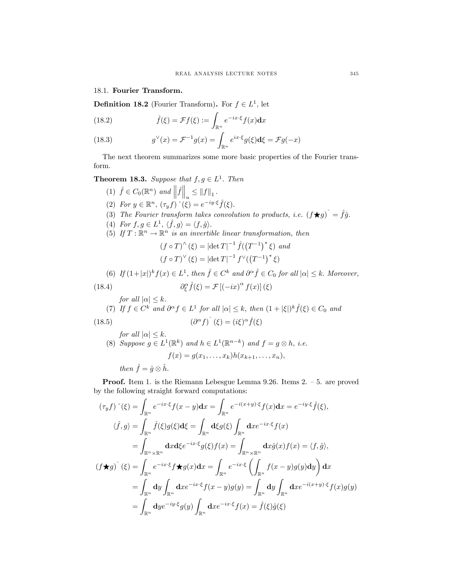# 18.1. Fourier Transform.

**Definition 18.2** (Fourier Transform). For  $f \in L^1$ , let

(18.2) 
$$
\hat{f}(\xi) = \mathcal{F}f(\xi) := \int_{\mathbb{R}^n} e^{-ix \cdot \xi} f(x) dx
$$

(18.3) 
$$
g^{\vee}(x) = \mathcal{F}^{-1}g(x) = \int_{\mathbb{R}^n} e^{ix \cdot \xi} g(\xi) d\xi = \mathcal{F}g(-x)
$$

The next theorem summarizes some more basic properties of the Fourier transform.

**Theorem 18.3.** Suppose that  $f, g \in L^1$ . Then

(1) 
$$
\hat{f} \in C_0(\mathbb{R}^n)
$$
 and  $||\hat{f}||_u \leq ||f||_1$ .  
\n(2) For  $y \in \mathbb{R}^n$ ,  $(\tau_y f) \hat{ }(\xi) = e^{-iy \cdot \xi} \hat{f}(\xi)$ .  
\n(3) The Fourier transform takes convolution to products, i.e.  $(f \star g) \hat{ } = \hat{f} \hat{g}$ .  
\n(4) For  $f, g \in L^1$ ,  $\langle \hat{f}, g \rangle = \langle f, \hat{g} \rangle$ .  
\n(5) If  $T : \mathbb{R}^n \to \mathbb{R}^n$  is an invertible linear transformation, then  
\n $(f \circ T)^{\wedge} (\xi) = |\det T|^{-1} \hat{f}((T^{-1})^* \xi)$  and  
\n $(f \circ T)^{\vee} (\xi) = |\det T|^{-1} f^{\vee}((T^{-1})^* \xi)$   
\n(6) If  $(1+|x|)^k f(x) \in L^1$ , then  $\hat{f} \in C^k$  and  $\partial^{\alpha} \hat{f} \in C_0$  for all  $|\alpha| \leq k$ . Moreover,  
\n(18.4)  $\partial_{\xi}^{\alpha} \hat{f}(\xi) = \mathcal{F}[(-ix)^{\alpha} f(x)](\xi)$   
\nfor all  $|\alpha| \leq k$ .  
\n(7) If  $f \in C^k$  and  $\partial^{\alpha} f \in L^1$  for all  $|\alpha| \leq k$ , then  $(1+|\xi|)^k \hat{f}(\xi) \in C_0$  and  
\n(18.5)  $(\partial^{\alpha} f) \hat{ } (\xi) = (i\xi)^{\alpha} \hat{f}(\xi)$   
\nfor all  $|\alpha| \leq k$ .  
\n(8) Suppose  $g \in L^1(\mathbb{R}^k)$  and  $h \in L^1(\mathbb{R}^{n-k})$  and  $f = g \otimes h$ , i.e.  $f(x) = g(x_1, \ldots, x_k)h(x_{k+1}, \ldots, x_n)$ ,

then  $\hat{f} = \hat{g} \otimes \hat{h}$ .

Proof. Item 1. is the Riemann Lebesgue Lemma 9.26. Items 2. — 5. are proved by the following straight forward computations:

$$
(\tau_y f) \hat{ } (\xi) = \int_{\mathbb{R}^n} e^{-ix\cdot\xi} f(x-y) dx = \int_{\mathbb{R}^n} e^{-i(x+y)\cdot\xi} f(x) dx = e^{-iy\cdot\xi} \hat{f}(\xi),
$$
  

$$
\langle \hat{f}, g \rangle = \int_{\mathbb{R}^n} \hat{f}(\xi) g(\xi) d\xi = \int_{\mathbb{R}^n} d\xi g(\xi) \int_{\mathbb{R}^n} dx e^{-ix\cdot\xi} f(x)
$$
  

$$
= \int_{\mathbb{R}^n \times \mathbb{R}^n} dx d\xi e^{-ix\cdot\xi} g(\xi) f(x) = \int_{\mathbb{R}^n \times \mathbb{R}^n} dx \hat{g}(x) f(x) = \langle f, \hat{g} \rangle,
$$
  

$$
(f \star g) \hat{ } (\xi) = \int_{\mathbb{R}^n} e^{-ix\cdot\xi} f \star g(x) dx = \int_{\mathbb{R}^n} e^{-ix\cdot\xi} \left( \int_{\mathbb{R}^n} f(x-y) g(y) dy \right) dx
$$
  

$$
= \int_{\mathbb{R}^n} dy \int_{\mathbb{R}^n} dx e^{-ix\cdot\xi} f(x-y) g(y) = \int_{\mathbb{R}^n} dy \int_{\mathbb{R}^n} dx e^{-i(x+y)\cdot\xi} f(x) g(y)
$$
  

$$
= \int_{\mathbb{R}^n} dy e^{-iy\cdot\xi} g(y) \int_{\mathbb{R}^n} dx e^{-ix\cdot\xi} f(x) = \hat{f}(\xi) \hat{g}(\xi)
$$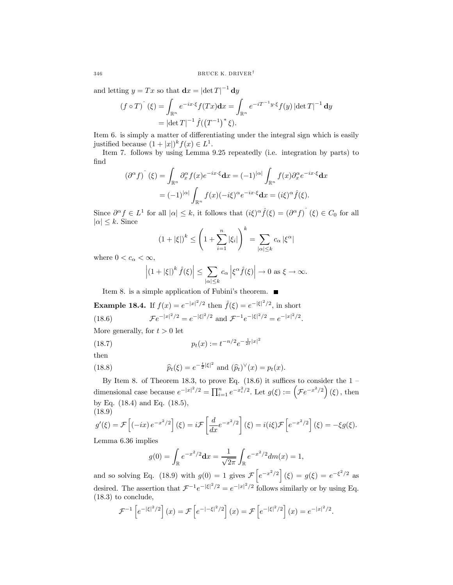and letting  $y = Tx$  so that  $\mathbf{d}x = |\det T|^{-1} \mathbf{d}y$ 

$$
(f \circ T)^{\hat{}}(\xi) = \int_{\mathbb{R}^n} e^{-ix\cdot\xi} f(Tx) dx = \int_{\mathbb{R}^n} e^{-iT^{-1}y\cdot\xi} f(y) |\det T|^{-1} dy
$$

$$
= |\det T|^{-1} \hat{f}((T^{-1})^*\xi).
$$

Item 6. is simply a matter of differentiating under the integral sign which is easily justified because  $(1+|x|)^k f(x) \in L^1$ .

Item 7. follows by using Lemma 9.25 repeatedly (i.e. integration by parts) to find

$$
(\partial^{\alpha} f)^{\hat{}}(\xi) = \int_{\mathbb{R}^n} \partial_x^{\alpha} f(x) e^{-ix\cdot\xi} dx = (-1)^{|\alpha|} \int_{\mathbb{R}^n} f(x) \partial_x^{\alpha} e^{-ix\cdot\xi} dx
$$

$$
= (-1)^{|\alpha|} \int_{\mathbb{R}^n} f(x) (-i\xi)^{\alpha} e^{-ix\cdot\xi} dx = (i\xi)^{\alpha} \hat{f}(\xi).
$$

Since  $\partial^{\alpha} f \in L^{1}$  for all  $|\alpha| \leq k$ , it follows that  $(i\xi)^{\alpha} \hat{f}(\xi) = (\partial^{\alpha} f)^{\hat{}}(\xi) \in C_{0}$  for all  $|\alpha| \leq k$ . Since

$$
(1+|\xi|)^k \le \left(1+\sum_{i=1}^n |\xi_i|\right)^k = \sum_{|\alpha| \le k} c_{\alpha} |\xi^{\alpha}|
$$

where  $0 < c_{\alpha} < \infty$ ,

$$
\left| \left( 1 + |\xi| \right)^k \hat{f}(\xi) \right| \leq \sum_{|\alpha| \leq k} c_{\alpha} \left| \xi^{\alpha} \hat{f}(\xi) \right| \to 0 \text{ as } \xi \to \infty.
$$

Item 8. is a simple application of Fubini's theorem.

**Example 18.4.** If  $f(x) = e^{-|x|^2/2}$  then  $\hat{f}(\xi) = e^{-|\xi|^2/2}$ , in short (18.6)  $\mathcal{F}e^{-|x|^2/2} = e^{-|\xi|^2/2}$  and  $\mathcal{F}^{-1}e^{-|\xi|^2/2} = e^{-|x|^2/2}$ .

More generally, for  $t > 0$  let

(18.7) 
$$
p_t(x) := t^{-n/2} e^{-\frac{1}{2t}|x|^2}
$$

then

(18.8) 
$$
\hat{p}_t(\xi) = e^{-\frac{t}{2}|\xi|^2}
$$
 and  $(\hat{p}_t)^{\vee}(x) = p_t(x)$ .

By Item 8. of Theorem 18.3, to prove Eq.  $(18.6)$  it suffices to consider the 1 – dimensional case because  $e^{-|x|^2/2} = \prod_{i=1}^n e^{-x_i^2/2}$ . Let  $g(\xi) := (\mathcal{F}e^{-x^2/2})(\xi)$ , then by Eq. (18.4) and Eq. (18.5), (18.9)

$$
g'(\xi) = \mathcal{F}\left[(-ix)e^{-x^2/2}\right](\xi) = i\mathcal{F}\left[\frac{d}{dx}e^{-x^2/2}\right](\xi) = i(i\xi)\mathcal{F}\left[e^{-x^2/2}\right](\xi) = -\xi g(\xi).
$$
  
Lemma 6.36 implies

Lemma 6.36 implies

$$
g(0) = \int_{\mathbb{R}} e^{-x^2/2} dx = \frac{1}{\sqrt{2\pi}} \int_{\mathbb{R}} e^{-x^2/2} dm(x) = 1,
$$

and so solving Eq. (18.9) with  $g(0) = 1$  gives  $\mathcal{F}\left[e^{-x^2/2}\right](\xi) = g(\xi) = e^{-\xi^2/2}$  as desired. The assertion that  $\mathcal{F}^{-1}e^{-|\xi|^2/2} = e^{-|x|^2/2}$  follows similarly or by using Eq. (18.3) to conclude,

$$
\mathcal{F}^{-1}\left[e^{-|\xi|^2/2}\right](x) = \mathcal{F}\left[e^{-|-\xi|^2/2}\right](x) = \mathcal{F}\left[e^{-|\xi|^2/2}\right](x) = e^{-|x|^2/2}.
$$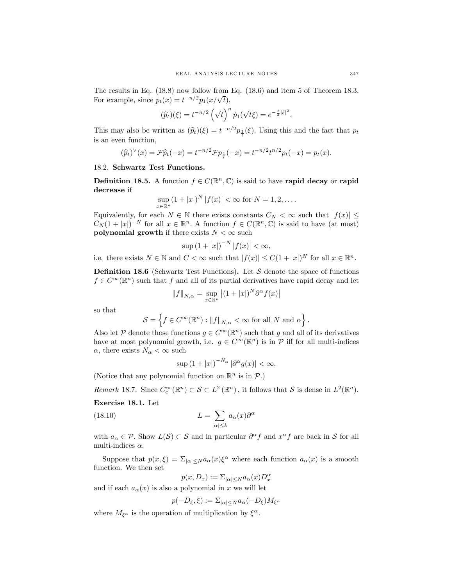The results in Eq. (18.8) now follow from Eq. (18.6) and item 5 of Theorem 18.3. For example, since  $p_t(x) = t^{-n/2} p_1(x/\sqrt{t}),$ 

$$
(\widehat{p}_t)(\xi) = t^{-n/2} \left(\sqrt{t}\right)^n \widehat{p}_1(\sqrt{t}\xi) = e^{-\frac{t}{2}|\xi|^2}.
$$

This may also be written as  $(\widehat{p}_t)(\xi) = t^{-n/2} p_{\frac{1}{t}}(\xi)$ . Using this and the fact that  $p_t$ is an even function,

$$
(\widehat{p}_t)^{\vee}(x) = \mathcal{F}\widehat{p}_t(-x) = t^{-n/2}\mathcal{F}p_{\frac{1}{t}}(-x) = t^{-n/2}t^{n/2}p_t(-x) = p_t(x).
$$

### 18.2. Schwartz Test Functions.

**Definition 18.5.** A function  $f \in C(\mathbb{R}^n, \mathbb{C})$  is said to have rapid decay or rapid decrease if

$$
\sup_{x \in \mathbb{R}^n} (1+|x|)^N |f(x)| < \infty \text{ for } N = 1, 2, ....
$$

Equivalently, for each  $N \in \mathbb{N}$  there exists constants  $C_N < \infty$  such that  $|f(x)| \leq$  $C_N(1+|x|)^{-N}$  for all  $x \in \mathbb{R}^n$ . A function  $f \in C(\mathbb{R}^n,\mathbb{C})$  is said to have (at most) polynomial growth if there exists  $N < \infty$  such

$$
\sup\left(1+|x|\right)^{-N}|f(x)| < \infty,
$$

i.e. there exists  $N \in \mathbb{N}$  and  $C < \infty$  such that  $|f(x)| \leq C(1+|x|)^N$  for all  $x \in \mathbb{R}^n$ .

**Definition 18.6** (Schwartz Test Functions). Let  $S$  denote the space of functions  $f \in C^{\infty}(\mathbb{R}^n)$  such that f and all of its partial derivatives have rapid decay and let

$$
||f||_{N,\alpha} = \sup_{x \in \mathbb{R}^n} |(1+|x|)^N \partial^\alpha f(x)|
$$

so that

$$
\mathcal{S} = \left\{ f \in C^{\infty}(\mathbb{R}^n) : ||f||_{N,\alpha} < \infty \text{ for all } N \text{ and } \alpha \right\}.
$$

Also let P denote those functions  $g \in C^{\infty}(\mathbb{R}^n)$  such that g and all of its derivatives have at most polynomial growth, i.e.  $g \in C^{\infty}(\mathbb{R}^n)$  is in  $\mathcal P$  iff for all multi-indices  $\alpha$ , there exists  $N_{\alpha} < \infty$  such

$$
\sup\left(1+|x|\right)^{-N_{\alpha}}|\partial^{\alpha}g(x)| < \infty.
$$

(Notice that any polynomial function on  $\mathbb{R}^n$  is in  $\mathcal{P}$ .)

Remark 18.7. Since  $C_c^{\infty}(\mathbb{R}^n) \subset S \subset L^2(\mathbb{R}^n)$ , it follows that S is dense in  $L^2(\mathbb{R}^n)$ .

### Exercise 18.1. Let

(18.10) 
$$
L = \sum_{|\alpha| \le k} a_{\alpha}(x) \partial^{\alpha}
$$

with  $a_{\alpha} \in \mathcal{P}$ . Show  $L(\mathcal{S}) \subset \mathcal{S}$  and in particular  $\partial^{\alpha} f$  and  $x^{\alpha} f$  are back in  $\mathcal{S}$  for all multi-indices  $\alpha$ .

Suppose that  $p(x,\xi) = \sum_{|\alpha| \leq N} a_{\alpha}(x) \xi^{\alpha}$  where each function  $a_{\alpha}(x)$  is a smooth function. We then set

$$
p(x, D_x) := \sum_{|\alpha| \le N} a_{\alpha}(x) D_x^{\alpha}
$$

and if each  $a_{\alpha}(x)$  is also a polynomial in x we will let

$$
p(-D_{\xi}, \xi) := \sum_{|\alpha| \le N} a_{\alpha} (-D_{\xi}) M_{\xi^{\alpha}}
$$

where  $M_{\xi^{\alpha}}$  is the operation of multiplication by  $\xi^{\alpha}$ .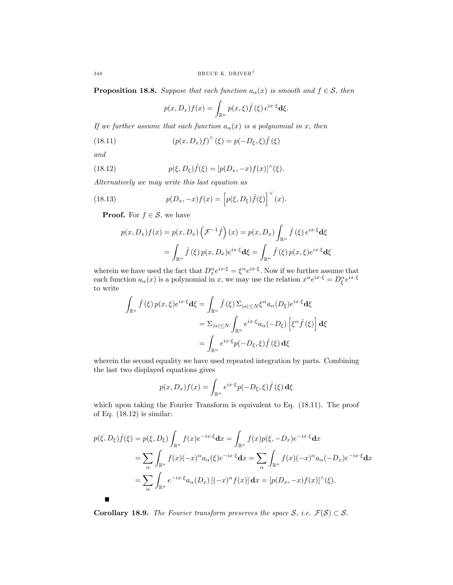**Proposition 18.8.** Suppose that each function  $a_{\alpha}(x)$  is smooth and  $f \in \mathcal{S}$ , then

$$
p(x,D_x)f(x) = \int_{\mathbb{R}^n} p(x,\xi)\hat{f}(\xi) e^{ix\cdot\xi} \mathbf{d}\xi.
$$

If we further assume that each function  $a_{\alpha}(x)$  is a polynomial in x, then

(18.11) 
$$
(p(x, D_x)f)^{\wedge}(\xi) = p(-D_{\xi}, \xi)\hat{f}(\xi)
$$

and

(18.12) 
$$
p(\xi, D_{\xi})\hat{f}(\xi) = [p(D_x, -x)f(x)]^{\wedge}(\xi).
$$

Alternatively we may write this last equation as

(18.13) 
$$
p(D_x,-x)f(x) = \left[p(\xi,D_{\xi})\hat{f}(\xi)\right]^{\vee}(x).
$$

**Proof.** For  $f \in \mathcal{S}$ , we have

$$
p(x, D_x)f(x) = p(x, D_x)\left(\mathcal{F}^{-1}\hat{f}\right)(x) = p(x, D_x)\int_{\mathbb{R}^n} \hat{f}(\xi) e^{ix\cdot\xi} d\xi
$$

$$
= \int_{\mathbb{R}^n} \hat{f}(\xi) p(x, D_x)e^{ix\cdot\xi} d\xi = \int_{\mathbb{R}^n} \hat{f}(\xi) p(x, \xi)e^{ix\cdot\xi} d\xi
$$

wherein we have used the fact that  $D_x^{\alpha}e^{ix\cdot\xi} = \xi^{\alpha}e^{ix\cdot\xi}$ . Now if we further assume that each function  $a_{\alpha}(x)$  is a polynomial in x, we may use the relation  $x^{\alpha}e^{ix\cdot\xi} = D_{\xi}^{\alpha}e^{ix\cdot\xi}$ to write

$$
\int_{\mathbb{R}^n} \hat{f}(\xi) p(x,\xi) e^{ix\cdot\xi} \mathbf{d}\xi = \int_{\mathbb{R}^n} \hat{f}(\xi) \Sigma_{|\alpha| \le N} \xi^{\alpha} a_{\alpha}(D_{\xi}) e^{ix\cdot\xi} \mathbf{d}\xi
$$
\n
$$
= \Sigma_{|\alpha| \le N} \int_{\mathbb{R}^n} e^{ix\cdot\xi} a_{\alpha}(-D_{\xi}) \left[ \xi^{\alpha} \hat{f}(\xi) \right] \mathbf{d}\xi
$$
\n
$$
= \int_{\mathbb{R}^n} e^{ix\cdot\xi} p(-D_{\xi}, \xi) \hat{f}(\xi) \mathbf{d}\xi
$$

wherein the second equality we have used repeated integration by parts. Combining the last two displayed equations gives

$$
p(x, D_x)f(x) = \int_{\mathbb{R}^n} e^{ix\cdot\xi} p(-D_{\xi}, \xi) \hat{f}(\xi) \,d\xi
$$

which upon taking the Fourier Transform is equivalent to Eq.  $(18.11)$ . The proof of Eq. (18.12) is similar:

$$
p(\xi, D_{\xi})\hat{f}(\xi) = p(\xi, D_{\xi}) \int_{\mathbb{R}^n} f(x)e^{-ix\cdot\xi} dx = \int_{\mathbb{R}^n} f(x)p(\xi, -D_x)e^{-ix\cdot\xi} dx
$$
  
\n
$$
= \sum_{\alpha} \int_{\mathbb{R}^n} f(x)(-x)^{\alpha} a_{\alpha}(\xi)e^{-ix\cdot\xi} dx = \sum_{\alpha} \int_{\mathbb{R}^n} f(x)(-x)^{\alpha} a_{\alpha}(-D_x)e^{-ix\cdot\xi} dx
$$
  
\n
$$
= \sum_{\alpha} \int_{\mathbb{R}^n} e^{-ix\cdot\xi} a_{\alpha}(D_x) [(-x)^{\alpha} f(x)] dx = [p(D_x, -x)f(x)]^{\wedge}(\xi).
$$

Corollary 18.9. The Fourier transform preserves the space  $S$ , i.e.  $\mathcal{F}(S) \subset S$ .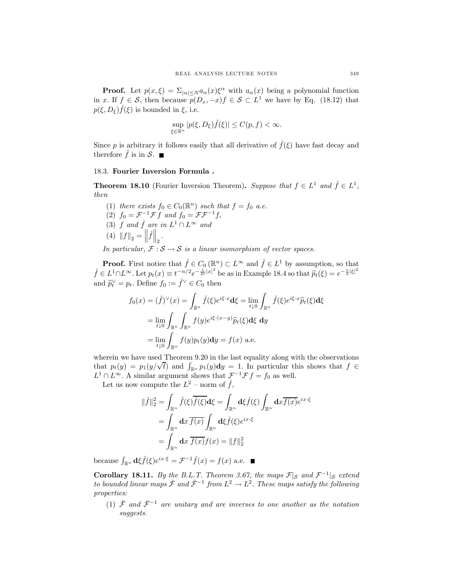**Proof.** Let  $p(x,\xi) = \sum_{|\alpha| \leq N} a_{\alpha}(x) \xi^{\alpha}$  with  $a_{\alpha}(x)$  being a polynomial function in x. If  $f \in \mathcal{S}$ , then because  $p(D_x, -x)f \in \mathcal{S} \subset L^1$  we have by Eq. (18.12) that  $p(\xi, D_{\xi})\hat{f}(\xi)$  is bounded in  $\xi$ , i.e.

$$
\sup_{\xi \in \mathbb{R}^n} |p(\xi, D_{\xi})\hat{f}(\xi)| \le C(p, f) < \infty.
$$

Since p is arbitrary it follows easily that all derivative of  $\hat{f}(\xi)$  have fast decay and therefore  $\hat{f}$  is in  $\mathcal{S}$ .

### 18.3. Fourier Inversion Formula .

**Theorem 18.10** (Fourier Inversion Theorem). Suppose that  $f \in L^1$  and  $\hat{f} \in L^1$ , then

(1) there exists  $f_0 \in C_0(\mathbb{R}^n)$  such that  $f = f_0$  a.e. (2)  $f_0 = \mathcal{F}^{-1} \mathcal{F} f$  and  $f_0 = \mathcal{F} \mathcal{F}^{-1} f$ , (3) f and  $\hat{f}$  are in  $L^1 \cap L^\infty$  and (4)  $||f||_2 = ||\hat{f}||_2$ .

In particular,  $\mathcal{F}: \mathcal{S} \to \mathcal{S}$  is a linear isomorphism of vector spaces.

**Proof.** First notice that  $\hat{f} \in C_0(\mathbb{R}^n) \subset L^{\infty}$  and  $\hat{f} \in L^1$  by assumption, so that  $\hat{f} \in L^1 \cap L^\infty$ . Let  $p_t(x) \equiv t^{-n/2} e^{-\frac{1}{2}t|x|^2}$  be as in Example 18.4 so that  $\hat{p}_t(\xi) = e^{-\frac{t}{2}|\xi|^2}$ and  $\widehat{p}_t^{\vee} = p_t$ . Define  $f_0 := \widehat{f}^{\vee} \in C_0$  then

$$
f_0(x) = (\hat{f})^{\vee}(x) = \int_{\mathbb{R}^n} \hat{f}(\xi) e^{i\xi \cdot x} d\xi = \lim_{t \downarrow 0} \int_{\mathbb{R}^n} \hat{f}(\xi) e^{i\xi \cdot x} \hat{p}_t(\xi) d\xi
$$

$$
= \lim_{t \downarrow 0} \int_{\mathbb{R}^n} \int_{\mathbb{R}^n} f(y) e^{i\xi \cdot (x-y)} \hat{p}_t(\xi) d\xi dy
$$

$$
= \lim_{t \downarrow 0} \int_{\mathbb{R}^n} f(y) p_t(y) dy = f(x) \text{ a.e.}
$$

wherein we have used Theorem 9.20 in the last equality along with the observations that  $p_t(y) = p_1(y/\sqrt{t})$  and  $\int_{\mathbb{R}^n} p_1(y) dy = 1$ . In particular this shows that  $f \in$  $L^1 \cap L^\infty$ . A similar argument shows that  $\mathcal{F}^{-1} \mathcal{F} f = f_0$  as well.

Let us now compute the  $L^2$  – norm of  $\hat{f}$ ,

$$
\|\hat{f}\|_2^2 = \int_{\mathbb{R}^n} \hat{f}(\xi) \overline{\hat{f}(\xi)} \, d\xi = \int_{\mathbb{R}^n} d\xi \hat{f}(\xi) \int_{\mathbb{R}^n} dx \overline{f(x)} e^{ix \cdot \xi}
$$

$$
= \int_{\mathbb{R}^n} dx \, \overline{f(x)} \int_{\mathbb{R}^n} d\xi \hat{f}(\xi) e^{ix \cdot \xi}
$$

$$
= \int_{\mathbb{R}^n} dx \, \overline{f(x)} f(x) = \|f\|_2^2
$$

because  $\int_{\mathbb{R}^n} d\xi \hat{f}(\xi) e^{ix \cdot \xi} = \mathcal{F}^{-1} \hat{f}(x) = f(x)$  a.e.

Corollary 18.11. By the B.L.T. Theorem 3.67, the maps  $\mathcal{F}|_{\mathcal{S}}$  and  $\mathcal{F}^{-1}|_{\mathcal{S}}$  extend to bounded linear maps  $\bar{\mathcal{F}}$  and  $\bar{\mathcal{F}}^{-1}$  from  $L^2 \to L^2$ . These maps satisfy the following properties:

(1)  $\bar{\mathcal{F}}$  and  $\bar{\mathcal{F}}^{-1}$  are unitary and are inverses to one another as the notation suggests.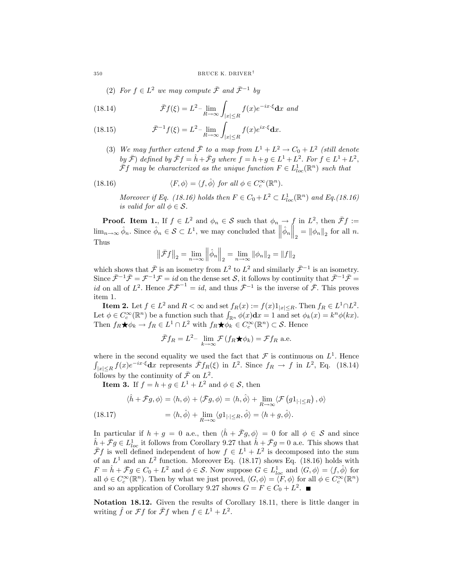(2) For  $f \in L^2$  we may compute  $\bar{\mathcal{F}}$  and  $\bar{\mathcal{F}}^{-1}$  by

(18.14) 
$$
\bar{\mathcal{F}}f(\xi) = L^2 - \lim_{R \to \infty} \int_{|x| \le R} f(x)e^{-ix\cdot\xi} dx \text{ and}
$$

(18.15) 
$$
\bar{\mathcal{F}}^{-1}f(\xi) = L^2 - \lim_{R \to \infty} \int_{|x| \le R} f(x)e^{ix \cdot \xi} dx.
$$

(3) We may further extend  $\bar{\mathcal{F}}$  to a map from  $L^1 + L^2 \rightarrow C_0 + L^2$  (still denote by  $\bar{\mathcal{F}}$ ) defined by  $\bar{\mathcal{F}}f = \hat{h} + \bar{\mathcal{F}}g$  where  $f = h + q \in L^1 + L^2$ . For  $f \in L^1 + L^2$ ,  $\bar{F}f$  may be characterized as the unique function  $F \in L^1_{loc}(\mathbb{R}^n)$  such that

(18.16) 
$$
\langle F, \phi \rangle = \langle f, \hat{\phi} \rangle \text{ for all } \phi \in C_c^{\infty}(\mathbb{R}^n).
$$

Moreover if Eq. (18.16) holds then  $F \in C_0 + L^2 \subset L^1_{loc}(\mathbb{R}^n)$  and Eq.(18.16) is valid for all  $\phi \in \mathcal{S}$ .

**Proof.** Item 1., If  $f \in L^2$  and  $\phi_n \in \mathcal{S}$  such that  $\phi_n \to f$  in  $L^2$ , then  $\bar{\mathcal{F}}f :=$  $\lim_{n\to\infty} \hat{\phi}_n$ . Since  $\hat{\phi}_n \in \mathcal{S} \subset L^1$ , we may concluded that  $\left\|\hat{\phi}_n\right\|_2 = \|\phi_n\|_2$  for all n. Thus

$$
\left\|\bar{\mathcal{F}}f\right\|_2=\lim_{n\rightarrow\infty}\left\|\hat{\phi}_n\right\|_2=\lim_{n\rightarrow\infty}\left\|\phi_n\right\|_2=\left\|f\right\|_2
$$

which shows that  $\bar{\mathcal{F}}$  is an isometry from  $L^2$  to  $L^2$  and similarly  $\bar{\mathcal{F}}^{-1}$  is an isometry. Since  $\bar{\mathcal{F}}^{-1}\bar{\mathcal{F}}=\mathcal{F}^{-1}\mathcal{F}=id$  on the dense set S, it follows by continuity that  $\bar{\mathcal{F}}^{-1}\bar{\mathcal{F}}=$ *id* on all of  $L^2$ . Hence  $\bar{\mathcal{F}}\bar{\mathcal{F}}^{-1} = id$ , and thus  $\bar{\mathcal{F}}^{-1}$  is the inverse of  $\bar{\mathcal{F}}$ . This proves item 1.

**Item 2.** Let  $f \in L^2$  and  $R < \infty$  and set  $f_R(x) := f(x)1_{|x| \le R}$ . Then  $f_R \in L^1 \cap L^2$ . Let  $\phi \in C_c^{\infty}(\mathbb{R}^n)$  be a function such that  $\int_{\mathbb{R}^n} \phi(x) dx = 1$  and set  $\phi_k(x) = k^n \phi(kx)$ . Then  $f_R \bigstar \phi_k \to f_R \in L^1 \cap L^2$  with  $f_R \bigstar \phi_k \in C_c^{\infty}(\mathbb{R}^n) \subset \mathcal{S}$ . Hence

$$
\bar{\mathcal{F}}f_R = L^2
$$
 -  $\lim_{k \to \infty} \mathcal{F}(f_R \bigstar \phi_k) = \mathcal{F}f_R$  a.e.

where in the second equality we used the fact that  $\mathcal F$  is continuous on  $L^1$ . Hence  $\int_{|x| \le R} f(x) e^{-ix\cdot\xi} dx$  represents  $\bar{\mathcal{F}}f_R(\xi)$  in  $L^2$ . Since  $f_R \to f$  in  $L^2$ , Eq. (18.14) follows by the continuity of  $\bar{\mathcal{F}}$  on  $L^2$ .

**Item 3.** If  $f = h + g \in L^1 + L^2$  and  $\phi \in \mathcal{S}$ , then

(18.17) 
$$
\langle \hat{h} + \bar{\mathcal{F}}g, \phi \rangle = \langle h, \phi \rangle + \langle \bar{\mathcal{F}}g, \phi \rangle = \langle h, \hat{\phi} \rangle + \lim_{R \to \infty} \langle \mathcal{F} (g1_{|\cdot| \le R}), \phi \rangle
$$

$$
= \langle h, \hat{\phi} \rangle + \lim_{R \to \infty} \langle g1_{|\cdot| \le R}, \hat{\phi} \rangle = \langle h + g, \hat{\phi} \rangle.
$$

In particular if  $h + g = 0$  a.e., then  $\langle \hat{h} + \bar{\mathcal{F}}g, \phi \rangle = 0$  for all  $\phi \in \mathcal{S}$  and since  $\hat{h} + \bar{\mathcal{F}}g \in L^1_{loc}$  it follows from Corollary 9.27 that  $\hat{h} + \bar{\mathcal{F}}g = 0$  a.e. This shows that  $\bar{\mathcal{F}}f$  is well defined independent of how  $f \in L^1 + L^2$  is decomposed into the sum of an  $L^1$  and an  $L^2$  function. Moreover Eq. (18.17) shows Eq. (18.16) holds with  $F = \hat{h} + \bar{\mathcal{F}}g \in C_0 + L^2$  and  $\phi \in \mathcal{S}$ . Now suppose  $G \in L^1_{loc}$  and  $\langle G, \phi \rangle = \langle f, \hat{\phi} \rangle$  for all  $\phi \in C_c^{\infty}(\mathbb{R}^n)$ . Then by what we just proved,  $\langle G, \phi \rangle = \langle F, \phi \rangle$  for all  $\phi \in C_c^{\infty}(\mathbb{R}^n)$ and so an application of Corollary 9.27 shows  $G = F \in C_0 + L^2$ .

Notation 18.12. Given the results of Corollary 18.11, there is little danger in writing  $\hat{f}$  or  $\mathcal{F}f$  for  $\bar{\mathcal{F}}f$  when  $f \in L^1 + L^2$ .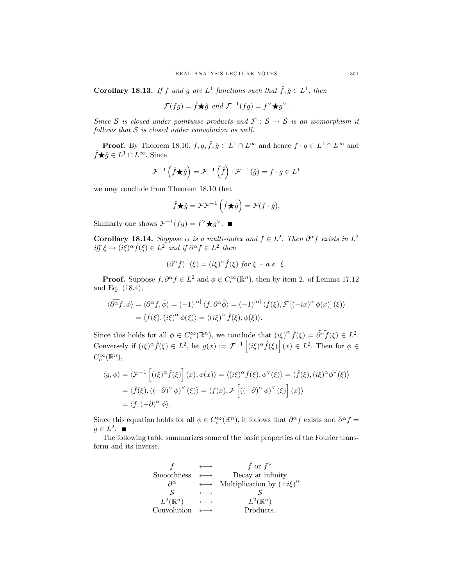**Corollary 18.13.** If f and g are  $L^1$  functions such that  $\hat{f}, \hat{g} \in L^1$ , then

$$
\mathcal{F}(fg) = \hat{f} \star \hat{g} \text{ and } \mathcal{F}^{-1}(fg) = f^{\vee} \star g^{\vee}.
$$

Since S is closed under pointwise products and  $\mathcal{F}: \mathcal{S} \to \mathcal{S}$  is an isomorphism it follows that  $S$  is closed under convolution as well.

**Proof.** By Theorem 18.10,  $f, g, \hat{f}, \hat{g} \in L^1 \cap L^{\infty}$  and hence  $f \cdot g \in L^1 \cap L^{\infty}$  and  $\hat{f} \star \hat{g} \in L^1 \cap L^{\infty}$ . Since

$$
\mathcal{F}^{-1}\left(\hat{f}\bigstar\hat{g}\right) = \mathcal{F}^{-1}\left(\hat{f}\right)\cdot\mathcal{F}^{-1}\left(\hat{g}\right) = f\cdot g \in L^1
$$

we may conclude from Theorem 18.10 that

$$
\hat{f} \star \hat{g} = \mathcal{F} \mathcal{F}^{-1} \left( \hat{f} \star \hat{g} \right) = \mathcal{F} (f \cdot g).
$$

Similarly one shows  $\mathcal{F}^{-1}(fg) = f^{\vee} \star g^{\vee}$ . ■

Corollary 18.14. Suppose  $\alpha$  is a multi-index and  $f \in L^2$ . Then  $\partial^{\alpha} f$  exists in  $L^2$ iff  $\xi \to (i\xi)^{\alpha} \hat{f}(\xi) \in L^2$  and if  $\partial^{\alpha} f \in L^2$  then

$$
(\partial^{\alpha} f)^{\hat{}}(\xi) = (i\xi)^{\alpha} \hat{f}(\xi) \text{ for } \xi - a.e. \xi.
$$

**Proof.** Suppose  $f, \partial^{\alpha} f \in L^2$  and  $\phi \in C_c^{\infty}(\mathbb{R}^n)$ , then by item 2. of Lemma 17.12 and Eq. (18.4),

$$
\langle \widehat{\partial^{\alpha} f}, \phi \rangle = \langle \partial^{\alpha} f, \widehat{\phi} \rangle = (-1)^{|\alpha|} \langle f, \partial^{\alpha} \widehat{\phi} \rangle = (-1)^{|\alpha|} \langle f(\xi), \mathcal{F} [(-ix)^{\alpha} \phi(x)] (\xi) \rangle
$$
  
=  $\langle \widehat{f}(\xi), (i\xi)^{\alpha} \phi(\xi) \rangle = \langle (i\xi)^{\alpha} \widehat{f}(\xi), \phi(\xi) \rangle.$ 

Since this holds for all  $\phi \in C_c^{\infty}(\mathbb{R}^n)$ , we conclude that  $(i\xi)^{\alpha} \hat{f}(\xi) = \widehat{\partial^{\alpha} f}(\xi) \in L^2$ . Conversely if  $(i\xi)^\alpha \hat{f}(\xi) \in L^2$ , let  $g(x) := \mathcal{F}^{-1}\left[ (i\xi)^\alpha \hat{f}(\xi) \right] (x) \in L^2$ . Then for  $\phi \in$  $C_c^{\infty}(\mathbb{R}^n)$ ,

$$
\langle g, \phi \rangle = \langle \mathcal{F}^{-1} \left[ (i\xi)^{\alpha} \hat{f}(\xi) \right] (x), \phi(x) \rangle = \langle (i\xi)^{\alpha} \hat{f}(\xi), \phi^{\vee}(\xi) \rangle = \langle \hat{f}(\xi), (i\xi)^{\alpha} \phi^{\vee}(\xi) \rangle
$$
  

$$
= \langle \hat{f}(\xi), ((-\partial)^{\alpha} \phi)^{\vee} (\xi) \rangle = \langle f(x), \mathcal{F} \left[ ((-\partial)^{\alpha} \phi)^{\vee} (\xi) \right] (x) \rangle
$$
  

$$
= \langle f, (-\partial)^{\alpha} \phi \rangle.
$$

Since this equation holds for all  $\phi \in C_c^{\infty}(\mathbb{R}^n)$ , it follows that  $\partial^{\alpha} f$  exists and  $\partial^{\alpha} f =$  $q \in L^2$ .

The following table summarizes some of the basic properties of the Fourier transform and its inverse.

|                     |                   | f or $f^{\vee}$                       |
|---------------------|-------------------|---------------------------------------|
| Smoothness          |                   | Decay at infinity                     |
| $\partial^{\alpha}$ |                   | Multiplication by $(\pm i\xi)^\alpha$ |
| S                   |                   |                                       |
| $L^2(\mathbb{R}^n)$ | $\longrightarrow$ | $L^2(\mathbb{R}^n)$                   |
| Convolution         |                   | Products.                             |
|                     |                   |                                       |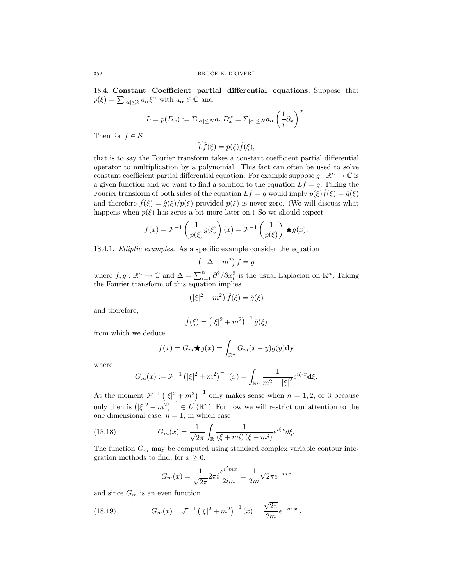18.4. Constant Coefficient partial differential equations. Suppose that  $p(\xi) = \sum_{|\alpha| \leq k} a_{\alpha} \xi^{\alpha}$  with  $a_{\alpha} \in \mathbb{C}$  and

$$
L = p(D_x) := \Sigma_{|\alpha| \le N} a_{\alpha} D_x^{\alpha} = \Sigma_{|\alpha| \le N} a_{\alpha} \left(\frac{1}{i} \partial_x\right)^{\alpha}
$$

.

Then for  $f \in \mathcal{S}$ 

 $\widehat{L}f(\xi) = p(\xi)\widehat{f}(\xi),$ 

that is to say the Fourier transform takes a constant coefficient partial differential operator to multiplication by a polynomial. This fact can often be used to solve constant coefficient partial differential equation. For example suppose  $g : \mathbb{R}^n \to \mathbb{C}$  is a given function and we want to find a solution to the equation  $Lf = g$ . Taking the Fourier transform of both sides of the equation  $Lf = g$  would imply  $p(\xi) \hat{f}(\xi) = \hat{g}(\xi)$ and therefore  $\hat{f}(\xi)=\hat{g}(\xi)/p(\xi)$  provided  $p(\xi)$  is never zero. (We will discuss what happens when  $p(\xi)$  has zeros a bit more later on.) So we should expect

$$
f(x) = \mathcal{F}^{-1}\left(\frac{1}{p(\xi)}\hat{g}(\xi)\right)(x) = \mathcal{F}^{-1}\left(\frac{1}{p(\xi)}\right) \star g(x).
$$

18.4.1. Elliptic examples. As a specific example consider the equation

$$
\left(-\Delta + m^2\right)f = g
$$

where  $f, g : \mathbb{R}^n \to \mathbb{C}$  and  $\Delta = \sum_{i=1}^n \frac{\partial^2}{\partial x_i^2}$  is the usual Laplacian on  $\mathbb{R}^n$ . Taking the Fourier transform of this equation implies

$$
\left(|\xi|^2 + m^2\right)\hat{f}(\xi) = \hat{g}(\xi)
$$

and therefore,

$$
\hat{f}(\xi) = (|\xi|^2 + m^2)^{-1} \hat{g}(\xi)
$$

from which we deduce

$$
f(x) = G_m \bigstar g(x) = \int_{\mathbb{R}^n} G_m(x - y)g(y) \, \mathrm{d}y
$$

where

$$
G_m(x) := \mathcal{F}^{-1} \left( |\xi|^2 + m^2 \right)^{-1} (x) = \int_{\mathbb{R}^n} \frac{1}{m^2 + |\xi|^2} e^{i\xi \cdot x} \mathbf{d}\xi.
$$

At the moment  $\mathcal{F}^{-1}(\vert \xi \vert^2 + m^2)^{-1}$  only makes sense when  $n = 1, 2$ , or 3 because only then is  $(|\xi|^2 + m^2)^{-1} \in L^1(\mathbb{R}^n)$ . For now we will restrict our attention to the one dimensional case,  $n = 1$ , in which case

(18.18) 
$$
G_m(x) = \frac{1}{\sqrt{2\pi}} \int_{\mathbb{R}} \frac{1}{(\xi + mi)(\xi - mi)} e^{i\xi x} d\xi.
$$

The function  $G_m$  may be computed using standard complex variable contour integration methods to find, for  $x \geq 0$ ,

$$
G_m(x) = \frac{1}{\sqrt{2\pi}} 2\pi i \frac{e^{i^2 m x}}{2im} = \frac{1}{2m} \sqrt{2\pi} e^{-mx}
$$

and since  $G_m$  is an even function,

(18.19) 
$$
G_m(x) = \mathcal{F}^{-1} \left( |\xi|^2 + m^2 \right)^{-1} (x) = \frac{\sqrt{2\pi}}{2m} e^{-m|x|}.
$$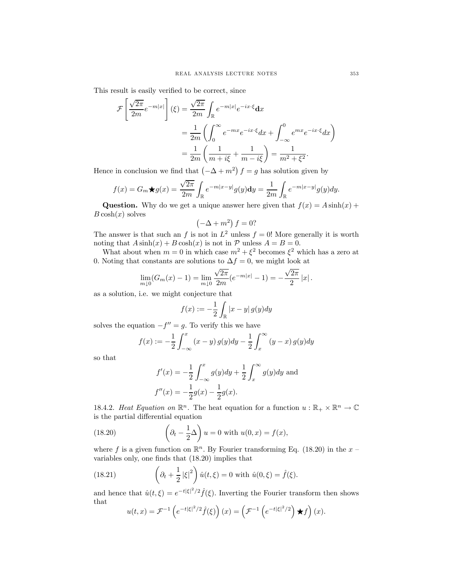This result is easily verified to be correct, since

$$
\mathcal{F}\left[\frac{\sqrt{2\pi}}{2m}e^{-m|x|}\right](\xi) = \frac{\sqrt{2\pi}}{2m}\int_{\mathbb{R}}e^{-m|x|}e^{-ix\cdot\xi}\mathrm{d}x
$$

$$
= \frac{1}{2m}\left(\int_0^\infty e^{-mx}e^{-ix\cdot\xi}dx + \int_{-\infty}^0 e^{mx}e^{-ix\cdot\xi}dx\right)
$$

$$
= \frac{1}{2m}\left(\frac{1}{m+i\xi} + \frac{1}{m-i\xi}\right) = \frac{1}{m^2 + \xi^2}.
$$

Hence in conclusion we find that  $(-\Delta + m^2) f = g$  has solution given by

$$
f(x) = G_m \star g(x) = \frac{\sqrt{2\pi}}{2m} \int_{\mathbb{R}} e^{-m|x-y|} g(y) dy = \frac{1}{2m} \int_{\mathbb{R}} e^{-m|x-y|} g(y) dy.
$$

**Question.** Why do we get a unique answer here given that  $f(x) = A \sinh(x) +$  $B \cosh(x)$  solves

$$
\left(-\Delta + m^2\right)f = 0?
$$

The answer is that such an f is not in  $L^2$  unless  $f = 0!$  More generally it is worth noting that  $A \sinh(x) + B \cosh(x)$  is not in  $\mathcal P$  unless  $A = B = 0$ .

What about when  $m = 0$  in which case  $m^2 + \xi^2$  becomes  $\xi^2$  which has a zero at 0. Noting that constants are solutions to  $\Delta f = 0$ , we might look at

$$
\lim_{m\downarrow 0} (G_m(x) - 1) = \lim_{m\downarrow 0} \frac{\sqrt{2\pi}}{2m} (e^{-m|x|} - 1) = -\frac{\sqrt{2\pi}}{2} |x|.
$$

as a solution, i.e. we might conjecture that

$$
f(x) := -\frac{1}{2} \int_{\mathbb{R}} |x - y| g(y) dy
$$

solves the equation  $-f'' = g$ . To verify this we have

$$
f(x) := -\frac{1}{2} \int_{-\infty}^{x} (x - y) g(y) dy - \frac{1}{2} \int_{x}^{\infty} (y - x) g(y) dy
$$

so that

$$
f'(x) = -\frac{1}{2} \int_{-\infty}^{x} g(y) dy + \frac{1}{2} \int_{x}^{\infty} g(y) dy
$$
 and  

$$
f''(x) = -\frac{1}{2} g(x) - \frac{1}{2} g(x).
$$

18.4.2. Heat Equation on  $\mathbb{R}^n$ . The heat equation for a function  $u : \mathbb{R}_+ \times \mathbb{R}^n \to \mathbb{C}$ is the partial differential equation

(18.20) 
$$
\left(\partial_t - \frac{1}{2}\Delta\right)u = 0 \text{ with } u(0, x) = f(x),
$$

where f is a given function on  $\mathbb{R}^n$ . By Fourier transforming Eq. (18.20) in the x – variables only, one finds that (18.20) implies that

(18.21) 
$$
\left(\partial_t + \frac{1}{2}|\xi|^2\right)\hat{u}(t,\xi) = 0 \text{ with } \hat{u}(0,\xi) = \hat{f}(\xi).
$$

and hence that  $\hat{u}(t,\xi) = e^{-t|\xi|^2/2} \hat{f}(\xi)$ . Inverting the Fourier transform then shows that

$$
u(t,x) = \mathcal{F}^{-1}\left(e^{-t|\xi|^2/2}\hat{f}(\xi)\right)(x) = \left(\mathcal{F}^{-1}\left(e^{-t|\xi|^2/2}\right)\star f\right)(x).
$$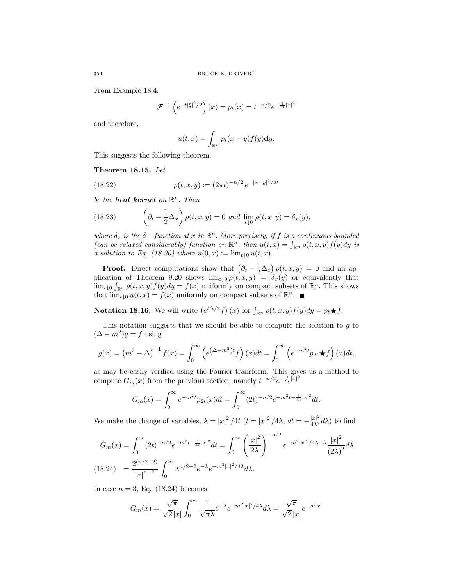From Example 18.4,

$$
\mathcal{F}^{-1}\left(e^{-t|\xi|^2/2}\right)(x) = p_t(x) = t^{-n/2}e^{-\frac{1}{2t}|x|^2}
$$

and therefore,

$$
u(t,x) = \int_{\mathbb{R}^n} p_t(x-y) f(y) \mathrm{d}y.
$$

This suggests the following theorem.

## Theorem 18.15. Let

(18.22) 
$$
\rho(t, x, y) := (2\pi t)^{-n/2} e^{-|x-y|^2/2t}
$$

be the **heat kernel** on  $\mathbb{R}^n$ . Then

(18.23) 
$$
\left(\partial_t - \frac{1}{2}\Delta_x\right)\rho(t,x,y) = 0 \text{ and } \lim_{t\downarrow 0} \rho(t,x,y) = \delta_x(y),
$$

where  $\delta_x$  is the  $\delta$  -function at x in  $\mathbb{R}^n$ . More precisely, if f is a continuous bounded (can be relaxed considerably) function on  $\mathbb{R}^n$ , then  $u(t, x) = \int_{\mathbb{R}^n} \rho(t, x, y) f(y) dy$  is a solution to Eq. (18.20) where  $u(0, x) := \lim_{t \downarrow 0} u(t, x)$ .

**Proof.** Direct computations show that  $(\partial_t - \frac{1}{2}\Delta_x)\rho(t, x, y) = 0$  and an application of Theorem 9.20 shows  $\lim_{t\downarrow 0} \rho(t, x, y) = \delta_x(y)$  or equivalently that  $\lim_{t\downarrow 0} \int_{\mathbb{R}^n} \rho(t, x, y) f(y) dy = f(x)$  uniformly on compact subsets of  $\mathbb{R}^n$ . This shows that  $\lim_{t\downarrow 0} u(t,x) = f(x)$  uniformly on compact subsets of  $\mathbb{R}^n$ .

**Notation 18.16.** We will write  $(e^{t\Delta/2}f)(x)$  for  $\int_{\mathbb{R}^n} \rho(t, x, y) f(y) dy = p_t \star f$ .

This notation suggests that we should be able to compute the solution to  $q$  to  $(\Delta - m^2)g = f$  using

$$
g(x) = (m^2 - \Delta)^{-1} f(x) = \int_0^\infty \left( e^{(\Delta - m^2)t} f \right)(x) dt = \int_0^\infty \left( e^{-m^2 t} p_{2t} \star f \right)(x) dt,
$$

as may be easily verified using the Fourier transform. This gives us a method to compute  $G_m(x)$  from the previous section, namely  $t^{-n/2}e^{-\frac{1}{2t}|x|^2}$ 

$$
G_m(x) = \int_0^\infty e^{-m^2t} p_{2t}(x) dt = \int_0^\infty (2t)^{-n/2} e^{-m^2t - \frac{1}{4t}|x|^2} dt.
$$

We make the change of variables,  $\lambda = |x|^2 / 4t$   $(t = |x|^2 / 4\lambda, dt = -\frac{|x|^2}{4\lambda^2} d\lambda$  to find

$$
G_m(x) = \int_0^\infty (2t)^{-n/2} e^{-m^2 t - \frac{1}{4t}|x|^2} dt = \int_0^\infty \left(\frac{|x|^2}{2\lambda}\right)^{-n/2} e^{-m^2 |x|^2 / 4\lambda - \lambda} \frac{|x|^2}{(2\lambda)^2} d\lambda
$$
  
(18.24) 
$$
= \frac{2^{(n/2-2)}}{|x|^{n-2}} \int_0^\infty \lambda^{n/2 - 2} e^{-\lambda} e^{-m^2 |x|^2 / 4\lambda} d\lambda.
$$

In case  $n = 3$ , Eq. (18.24) becomes

$$
G_m(x) = \frac{\sqrt{\pi}}{\sqrt{2}|x|} \int_0^\infty \frac{1}{\sqrt{\pi\lambda}} e^{-\lambda} e^{-m^2|x|^2/4\lambda} d\lambda = \frac{\sqrt{\pi}}{\sqrt{2}|x|} e^{-m|x|}
$$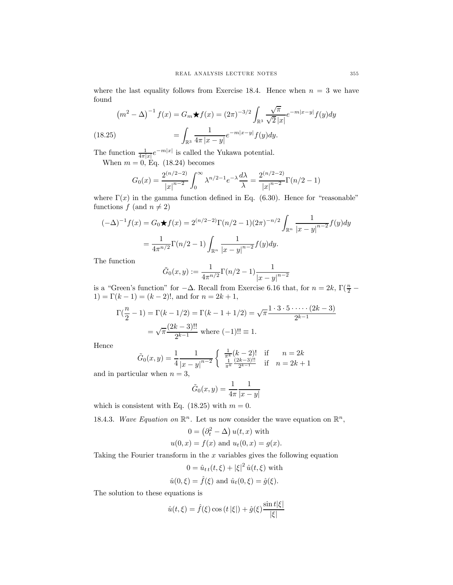where the last equality follows from Exercise 18.4. Hence when  $n = 3$  we have found

$$
(m^{2} - \Delta)^{-1} f(x) = G_{m} \star f(x) = (2\pi)^{-3/2} \int_{\mathbb{R}^{3}} \frac{\sqrt{\pi}}{\sqrt{2} |x|} e^{-m|x-y|} f(y) dy
$$
  
(18.25) 
$$
= \int_{\mathbb{R}^{3}} \frac{1}{4\pi |x-y|} e^{-m|x-y|} f(y) dy.
$$

The function  $\frac{1}{4\pi|x|}e^{-m|x|}$  is called the Yukawa potential.

When  $m = 0$ , Eq. (18.24) becomes

$$
G_0(x) = \frac{2^{(n/2-2)}}{|x|^{n-2}} \int_0^\infty \lambda^{n/2-1} e^{-\lambda} \frac{d\lambda}{\lambda} = \frac{2^{(n/2-2)}}{|x|^{n-2}} \Gamma(n/2 - 1)
$$

where  $\Gamma(x)$  in the gamma function defined in Eq. (6.30). Hence for "reasonable" functions  $f$  (and  $n \neq 2$ )

$$
(-\Delta)^{-1} f(x) = G_0 \star f(x) = 2^{(n/2-2)} \Gamma(n/2 - 1) (2\pi)^{-n/2} \int_{\mathbb{R}^n} \frac{1}{|x - y|^{n-2}} f(y) dy
$$

$$
= \frac{1}{4\pi^{n/2}} \Gamma(n/2 - 1) \int_{\mathbb{R}^n} \frac{1}{|x - y|^{n-2}} f(y) dy.
$$

The function

$$
\tilde{G}_0(x,y) := \frac{1}{4\pi^{n/2}} \Gamma(n/2 - 1) \frac{1}{|x - y|^{n-2}}
$$

is a "Green's function" for  $-\Delta$ . Recall from Exercise 6.16 that, for  $n = 2k$ ,  $\Gamma(\frac{n}{2} - \Delta)$ 1) =  $\Gamma(k-1) = (k-2)!$ , and for  $n = 2k+1$ ,

$$
\Gamma(\frac{n}{2} - 1) = \Gamma(k - 1/2) = \Gamma(k - 1 + 1/2) = \sqrt{\pi} \frac{1 \cdot 3 \cdot 5 \cdot \dots \cdot (2k - 3)}{2^{k-1}}
$$

$$
= \sqrt{\pi} \frac{(2k - 3)!!}{2^{k-1}} \text{ where } (-1)!! \equiv 1.
$$

Hence

$$
\tilde{G}_0(x,y) = \frac{1}{4} \frac{1}{|x-y|^{n-2}} \begin{cases} \frac{1}{\pi^k} (k-2)! & \text{if } n = 2k\\ \frac{1}{\pi^k} \frac{(2k-3)!!}{2^{k-1}} & \text{if } n = 2k+1 \end{cases}
$$

and in particular when  $n = 3$ ,

$$
\tilde{G}_0(x,y) = \frac{1}{4\pi} \frac{1}{|x-y|}
$$

which is consistent with Eq. (18.25) with  $m = 0$ .

18.4.3. Wave Equation on  $\mathbb{R}^n$ . Let us now consider the wave equation on  $\mathbb{R}^n$ ,

$$
0 = (\partial_t^2 - \Delta) u(t, x) \text{ with}
$$
  
 
$$
u(0, x) = f(x) \text{ and } u_t(0, x) = g(x).
$$

Taking the Fourier transform in the  $x$  variables gives the following equation

$$
0 = \hat{u}_{tt}(t,\xi) + |\xi|^2 \hat{u}(t,\xi)
$$
 with  

$$
\hat{u}(0,\xi) = \hat{f}(\xi)
$$
 and 
$$
\hat{u}_t(0,\xi) = \hat{g}(\xi).
$$

The solution to these equations is

$$
\hat{u}(t,\xi) = \hat{f}(\xi)\cos(t|\xi|) + \hat{g}(\xi)\frac{\sin t|\xi|}{|\xi|}
$$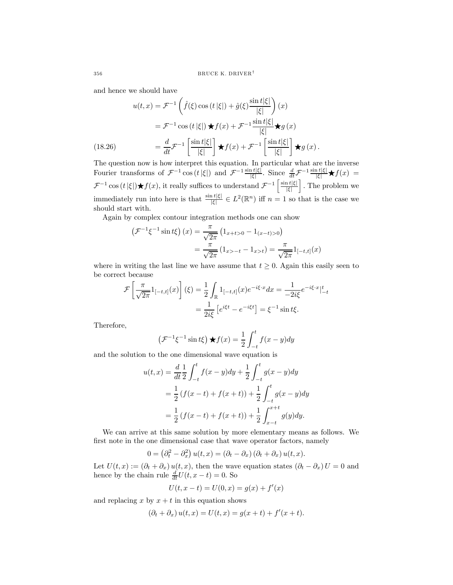and hence we should have

$$
u(t,x) = \mathcal{F}^{-1}\left(\hat{f}(\xi)\cos(t|\xi|) + \hat{g}(\xi)\frac{\sin t|\xi|}{|\xi|}\right)(x)
$$

$$
= \mathcal{F}^{-1}\cos(t|\xi|) \star f(x) + \mathcal{F}^{-1}\frac{\sin t|\xi|}{|\xi|} \star g(x)
$$

$$
= \frac{d}{dt}\mathcal{F}^{-1}\left[\frac{\sin t|\xi|}{|\xi|}\right] \star f(x) + \mathcal{F}^{-1}\left[\frac{\sin t|\xi|}{|\xi|}\right] \star g(x).
$$

The question now is how interpret this equation. In particular what are the inverse Fourier transforms of  $\mathcal{F}^{-1}\cos(t|\xi|)$  and  $\mathcal{F}^{-1}\frac{\sin t|\xi|}{|\xi|}$ . Since  $\frac{d}{dt}\mathcal{F}^{-1}\frac{\sin t|\xi|}{|\xi|}\star f(x) =$  $\mathcal{F}^{-1}\cos(t|\xi|)$  ★ $f(x)$ , it really suffices to understand  $\mathcal{F}^{-1}\left[\frac{\sin t|\xi|}{|\xi|}\right]$ |ξ| i . The problem we immediately run into here is that  $\frac{\sin t |\xi|}{|\xi|} \in L^2(\mathbb{R}^n)$  iff  $n = 1$  so that is the case we should start with.

Again by complex contour integration methods one can show

$$
\left(\mathcal{F}^{-1}\xi^{-1}\sin t\xi\right)(x) = \frac{\pi}{\sqrt{2\pi}}\left(1_{x+t>0} - 1_{(x-t)>0}\right)
$$

$$
= \frac{\pi}{\sqrt{2\pi}}\left(1_{x>-t} - 1_{x>t}\right) = \frac{\pi}{\sqrt{2\pi}}1_{[-t,t]}(x)
$$

where in writing the last line we have assume that  $t \geq 0$ . Again this easily seen to be correct because

$$
\mathcal{F}\left[\frac{\pi}{\sqrt{2\pi}}1_{[-t,t]}(x)\right](\xi) = \frac{1}{2} \int_{\mathbb{R}} 1_{[-t,t]}(x) e^{-i\xi \cdot x} dx = \frac{1}{-2i\xi} e^{-i\xi \cdot x} \Big|_{-t}^{t}
$$

$$
= \frac{1}{2i\xi} \left[e^{i\xi t} - e^{-i\xi t}\right] = \xi^{-1} \sin t\xi.
$$

Therefore,

$$
\left(\mathcal{F}^{-1}\xi^{-1}\sin t\xi\right)\star f(x) = \frac{1}{2}\int_{-t}^{t}f(x-y)dy
$$

and the solution to the one dimensional wave equation is

$$
u(t,x) = \frac{d}{dt} \frac{1}{2} \int_{-t}^{t} f(x-y) dy + \frac{1}{2} \int_{-t}^{t} g(x-y) dy
$$
  
=  $\frac{1}{2} (f(x-t) + f(x+t)) + \frac{1}{2} \int_{-t}^{t} g(x-y) dy$   
=  $\frac{1}{2} (f(x-t) + f(x+t)) + \frac{1}{2} \int_{x-t}^{x+t} g(y) dy.$ 

We can arrive at this same solution by more elementary means as follows. We first note in the one dimensional case that wave operator factors, namely

$$
0 = (\partial_t^2 - \partial_x^2) u(t, x) = (\partial_t - \partial_x) (\partial_t + \partial_x) u(t, x).
$$

Let  $U(t, x) := (\partial_t + \partial_x) u(t, x)$ , then the wave equation states  $(\partial_t - \partial_x) U = 0$  and hence by the chain rule  $\frac{d}{dt}U(t, x - t) = 0$ . So

$$
U(t, x - t) = U(0, x) = g(x) + f'(x)
$$

and replacing x by  $x + t$  in this equation shows

$$
(\partial_t + \partial_x) u(t, x) = U(t, x) = g(x + t) + f'(x + t).
$$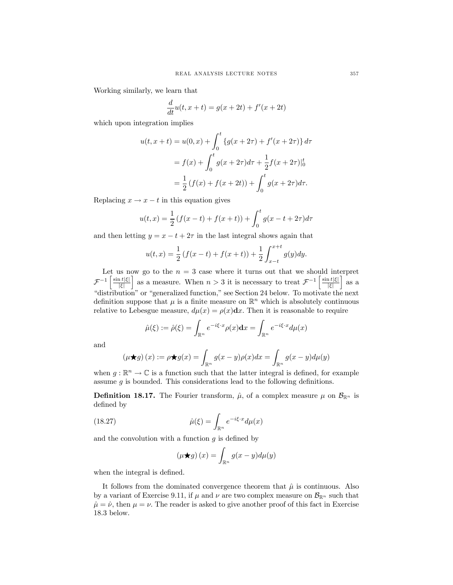Working similarly, we learn that

$$
\frac{d}{dt}u(t, x + t) = g(x + 2t) + f'(x + 2t)
$$

which upon integration implies

$$
u(t, x + t) = u(0, x) + \int_0^t \{g(x + 2\tau) + f'(x + 2\tau)\} d\tau
$$
  
=  $f(x) + \int_0^t g(x + 2\tau) d\tau + \frac{1}{2} f(x + 2\tau) \Big|_0^t$   
=  $\frac{1}{2} (f(x) + f(x + 2t)) + \int_0^t g(x + 2\tau) d\tau.$ 

Replacing  $x \to x - t$  in this equation gives

$$
u(t,x) = \frac{1}{2} (f(x-t) + f(x+t)) + \int_0^t g(x-t+2\tau) d\tau
$$

and then letting  $y = x - t + 2\tau$  in the last integral shows again that

$$
u(t,x) = \frac{1}{2} \left( f(x-t) + f(x+t) \right) + \frac{1}{2} \int_{x-t}^{x+t} g(y) dy.
$$

Let us now go to the  $n = 3$  case where it turns out that we should interpret  $\mathcal{F}^{-1}\left[\frac{\sin t|\xi|}{|\xi|}\right]$ |ξ| as a measure. When  $n > 3$  it is necessary to treat  $\mathcal{F}^{-1}\left[\frac{\sin t|\xi|}{|\xi|}\right]$ |ξ|  $\int$  as a "distribution" or "generalized function," see Section 24 below. To motivate the next definition suppose that  $\mu$  is a finite measure on  $\mathbb{R}^n$  which is absolutely continuous relative to Lebesgue measure,  $d\mu(x) = \rho(x)dx$ . Then it is reasonable to require

$$
\hat{\mu}(\xi) := \hat{\rho}(\xi) = \int_{\mathbb{R}^n} e^{-i\xi \cdot x} \rho(x) dx = \int_{\mathbb{R}^n} e^{-i\xi \cdot x} d\mu(x)
$$

and

$$
(\mu \bigstar g)(x) := \rho \bigstar g(x) = \int_{\mathbb{R}^n} g(x - y) \rho(x) dx = \int_{\mathbb{R}^n} g(x - y) d\mu(y)
$$

when  $g : \mathbb{R}^n \to \mathbb{C}$  is a function such that the latter integral is defined, for example assume  $g$  is bounded. This considerations lead to the following definitions.

**Definition 18.17.** The Fourier transform,  $\hat{\mu}$ , of a complex measure  $\mu$  on  $\mathcal{B}_{\mathbb{R}^n}$  is defined by

(18.27) 
$$
\hat{\mu}(\xi) = \int_{\mathbb{R}^n} e^{-i\xi \cdot x} d\mu(x)
$$

and the convolution with a function  $g$  is defined by

$$
(\mu \bigstar g)(x) = \int_{\mathbb{R}^n} g(x - y) d\mu(y)
$$

when the integral is defined.

It follows from the dominated convergence theorem that  $\hat{\mu}$  is continuous. Also by a variant of Exercise 9.11, if  $\mu$  and  $\nu$  are two complex measure on  $\mathcal{B}_{\mathbb{R}^n}$  such that  $\hat{\mu} = \hat{\nu}$ , then  $\mu = \nu$ . The reader is asked to give another proof of this fact in Exercise 18.3 below.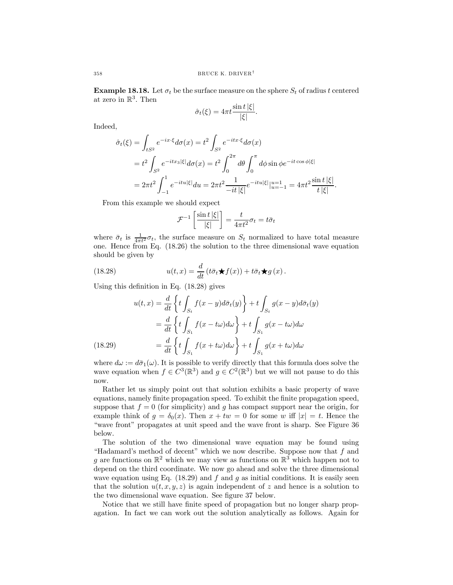**Example 18.18.** Let  $\sigma_t$  be the surface measure on the sphere  $S_t$  of radius t centered at zero in  $\mathbb{R}^3$ . Then

$$
\hat{\sigma}_t(\xi) = 4\pi t \frac{\sin t |\xi|}{|\xi|}.
$$

Indeed,

$$
\hat{\sigma}_t(\xi) = \int_{tS^2} e^{-ix\cdot\xi} d\sigma(x) = t^2 \int_{S^2} e^{-itx\cdot\xi} d\sigma(x)
$$
  
=  $t^2 \int_{S^2} e^{-itx_3|\xi|} d\sigma(x) = t^2 \int_0^{2\pi} d\theta \int_0^{\pi} d\phi \sin \phi e^{-it\cos \phi|\xi|}$   
=  $2\pi t^2 \int_{-1}^1 e^{-itu|\xi|} du = 2\pi t^2 \frac{1}{-it|\xi|} e^{-itu|\xi|} \Big|_{u=-1}^{u=1} = 4\pi t^2 \frac{\sin t |\xi|}{t |\xi|}.$ 

From this example we should expect

$$
\mathcal{F}^{-1}\left[\frac{\sin t \, |\xi|}{|\xi|}\right] = \frac{t}{4\pi t^2} \sigma_t = t \bar{\sigma}_t
$$

where  $\bar{\sigma}_t$  is  $\frac{1}{4\pi t^2} \sigma_t$ , the surface measure on  $S_t$  normalized to have total measure one. Hence from Eq. (18.26) the solution to the three dimensional wave equation should be given by

(18.28) 
$$
u(t,x) = \frac{d}{dt} (t\bar{\sigma}_t \star f(x)) + t\bar{\sigma}_t \star g(x).
$$

Using this definition in Eq. (18.28) gives

(18.29)  
\n
$$
u(t,x) = \frac{d}{dt} \left\{ t \int_{S_t} f(x-y) d\bar{\sigma}_t(y) \right\} + t \int_{S_t} g(x-y) d\bar{\sigma}_t(y)
$$
\n
$$
= \frac{d}{dt} \left\{ t \int_{S_1} f(x-t\omega) d\omega \right\} + t \int_{S_1} g(x-t\omega) d\omega
$$
\n
$$
= \frac{d}{dt} \left\{ t \int_{S_1} f(x+t\omega) d\omega \right\} + t \int_{S_1} g(x+t\omega) d\omega
$$

where  $d\omega := d\bar{\sigma}_1(\omega)$ . It is possible to verify directly that this formula does solve the wave equation when  $f \in C^3(\mathbb{R}^3)$  and  $g \in C^2(\mathbb{R}^3)$  but we will not pause to do this now.

Rather let us simply point out that solution exhibits a basic property of wave equations, namely finite propagation speed. To exhibit the finite propagation speed, suppose that  $f = 0$  (for simplicity) and q has compact support near the origin, for example think of  $g = \delta_0(x)$ . Then  $x + tw = 0$  for some w iff  $|x| = t$ . Hence the "wave front" propagates at unit speed and the wave front is sharp. See Figure 36 below.

The solution of the two dimensional wave equation may be found using "Hadamard's method of decent" which we now describe. Suppose now that  $f$  and q are functions on  $\mathbb{R}^2$  which we may view as functions on  $\mathbb{R}^3$  which happen not to depend on the third coordinate. We now go ahead and solve the three dimensional wave equation using Eq. (18.29) and f and g as initial conditions. It is easily seen that the solution  $u(t, x, y, z)$  is again independent of z and hence is a solution to the two dimensional wave equation. See figure 37 below.

Notice that we still have finite speed of propagation but no longer sharp propagation. In fact we can work out the solution analytically as follows. Again for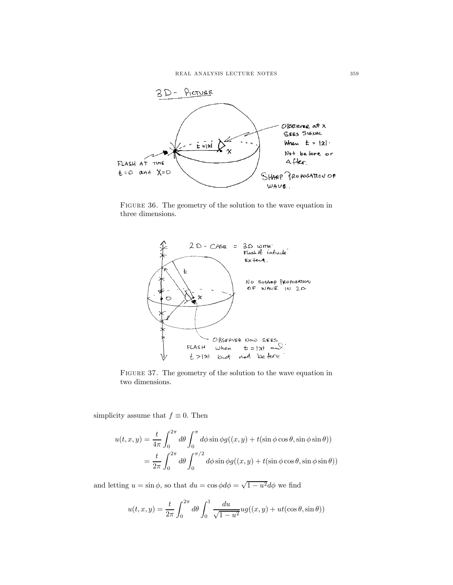

FIGURE 36. The geometry of the solution to the wave equation in three dimensions.



Figure 37. The geometry of the solution to the wave equation in two dimensions.

simplicity assume that  $f \equiv 0$ . Then

$$
u(t, x, y) = \frac{t}{4\pi} \int_0^{2\pi} d\theta \int_0^{\pi} d\phi \sin \phi g((x, y) + t(\sin \phi \cos \theta, \sin \phi \sin \theta))
$$
  
=  $\frac{t}{2\pi} \int_0^{2\pi} d\theta \int_0^{\pi/2} d\phi \sin \phi g((x, y) + t(\sin \phi \cos \theta, \sin \phi \sin \theta))$ 

and letting  $u = \sin \phi$ , so that  $du = \cos \phi d\phi = \sqrt{1 - u^2} d\phi$  we find

$$
u(t, x, y) = \frac{t}{2\pi} \int_0^{2\pi} d\theta \int_0^1 \frac{du}{\sqrt{1 - u^2}} ug((x, y) + ut(\cos \theta, \sin \theta))
$$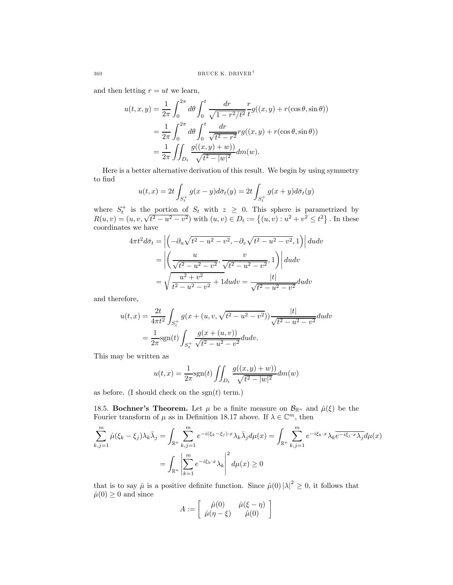and then letting  $r = ut$  we learn,

$$
u(t, x, y) = \frac{1}{2\pi} \int_0^{2\pi} d\theta \int_0^t \frac{dr}{\sqrt{1 - r^2/t^2}} \frac{r}{t} g((x, y) + r(\cos \theta, \sin \theta))
$$
  
=  $\frac{1}{2\pi} \int_0^{2\pi} d\theta \int_0^t \frac{dr}{\sqrt{t^2 - r^2}} r g((x, y) + r(\cos \theta, \sin \theta))$   
=  $\frac{1}{2\pi} \iint_{D_t} \frac{g((x, y) + w)}{\sqrt{t^2 - |w|^2}} dm(w).$ 

Here is a better alternative derivation of this result. We begin by using symmetry to find

$$
u(t,x) = 2t \int_{S_t^+} g(x-y) d\bar{\sigma}_t(y) = 2t \int_{S_t^+} g(x+y) d\bar{\sigma}_t(y)
$$

where  $S_t^+$  is the portion of  $S_t$  with  $z \ge 0$ . This sphere is parametrized by  $R(u, v) = (u, v, \sqrt{t^2 - u^2 - v^2})$  with  $(u, v) \in D_t := \{(u, v) : u^2 + v^2 \le t^2\}$ . In these coordinates we have

$$
4\pi t^2 d\bar{\sigma}_t = \left| \left( -\partial_u \sqrt{t^2 - u^2 - v^2}, -\partial_v \sqrt{t^2 - u^2 - v^2}, 1 \right) \right| du dv
$$
  
=  $\left| \left( \frac{u}{\sqrt{t^2 - u^2 - v^2}}, \frac{v}{\sqrt{t^2 - u^2 - v^2}}, 1 \right) \right| du dv$   
=  $\sqrt{\frac{u^2 + v^2}{t^2 - u^2 - v^2}} + 1 du dv = \frac{|t|}{\sqrt{t^2 - u^2 - v^2}} du dv$ 

and therefore,

$$
u(t,x) = \frac{2t}{4\pi t^2} \int_{S_t^+} g(x + (u, v, \sqrt{t^2 - u^2 - v^2})) \frac{|t|}{\sqrt{t^2 - u^2 - v^2}} du dv
$$
  
= 
$$
\frac{1}{2\pi} \text{sgn}(t) \int_{S_t^+} \frac{g(x + (u, v))}{\sqrt{t^2 - u^2 - v^2}} du dv.
$$

This may be written as

$$
u(t,x) = \frac{1}{2\pi} \text{sgn}(t) \int_{D_t} \frac{g((x,y) + w)}{\sqrt{t^2 - |w|^2}} dm(w)
$$

as before. (I should check on the  $sgn(t)$  term.)

18.5. Bochner's Theorem. Let  $\mu$  be a finite measure on  $\mathcal{B}_{\mathbb{R}^n}$  and  $\hat{\mu}(\xi)$  be the Fourier transform of  $\mu$  as in Definition 18.17 above. If  $\lambda \in \mathbb{C}^m$ , then

$$
\sum_{k,j=1}^{m} \hat{\mu}(\xi_k - \xi_j) \lambda_k \bar{\lambda}_j = \int_{\mathbb{R}^n} \sum_{k,j=1}^{m} e^{-i(\xi_k - \xi_j) \cdot x} \lambda_k \bar{\lambda}_j d\mu(x) = \int_{\mathbb{R}^n} \sum_{k,j=1}^{m} e^{-i\xi_k \cdot x} \lambda_k \overline{e^{-i\xi_j \cdot x} \lambda_j} d\mu(x)
$$

$$
= \int_{\mathbb{R}^n} \left| \sum_{k=1}^{m} e^{-i\xi_k \cdot x} \lambda_k \right|^2 d\mu(x) \ge 0
$$

that is to say  $\hat{\mu}$  is a positive definite function. Since  $\hat{\mu}(0) |\lambda|^2 \geq 0$ , it follows that  $\hat{\mu}(0) \geq 0$  and since

$$
A := \left[ \begin{array}{cc} \hat{\mu}(0) & \hat{\mu}(\xi - \eta) \\ \hat{\mu}(\eta - \xi) & \hat{\mu}(0) \end{array} \right]
$$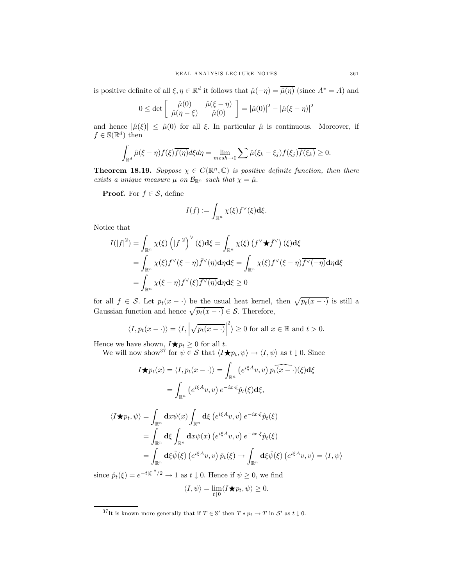is positive definite of all  $\xi, \eta \in \mathbb{R}^d$  it follows that  $\hat{\mu}(-\eta) = \overline{\hat{\mu}(\eta)}$  (since  $A^* = A$ ) and

$$
0 \le \det \begin{bmatrix} \hat{\mu}(0) & \hat{\mu}(\xi - \eta) \\ \hat{\mu}(\eta - \xi) & \hat{\mu}(0) \end{bmatrix} = |\hat{\mu}(0)|^2 - |\hat{\mu}(\xi - \eta)|^2
$$

and hence  $|\hat{\mu}(\xi)| \leq \hat{\mu}(0)$  for all  $\xi$ . In particular  $\hat{\mu}$  is continuous. Moreover, if  $f \in \mathbb{S}(\mathbb{R}^d)$  then

$$
\int_{\mathbb{R}^d} \hat{\mu}(\xi - \eta) f(\xi) \overline{f(\eta)} d\xi d\eta = \lim_{m \in \mathbb{R}^d \to 0} \sum \hat{\mu}(\xi_k - \xi_j) f(\xi_j) \overline{f(\xi_k)} \ge 0.
$$

**Theorem 18.19.** Suppose  $\chi \in C(\mathbb{R}^n, \mathbb{C})$  is positive definite function, then there exists a unique measure  $\mu$  on  $\mathcal{B}_{\mathbb{R}^n}$  such that  $\chi = \hat{\mu}$ .

**Proof.** For  $f \in \mathcal{S}$ , define

$$
I(f):=\int_{\mathbb{R}^n}\chi(\xi)f^\vee(\xi)\mathrm{d}\xi.
$$

Notice that

$$
I(|f|^2) = \int_{\mathbb{R}^n} \chi(\xi) (|f|^2)^{\vee} (\xi) d\xi = \int_{\mathbb{R}^n} \chi(\xi) (f^{\vee} \star \bar{f}^{\vee}) (\xi) d\xi
$$
  
= 
$$
\int_{\mathbb{R}^n} \chi(\xi) f^{\vee} (\xi - \eta) \bar{f}^{\vee} (\eta) d\eta d\xi = \int_{\mathbb{R}^n} \chi(\xi) f^{\vee} (\xi - \eta) \overline{f^{\vee} (-\eta)} d\eta d\xi
$$
  
= 
$$
\int_{\mathbb{R}^n} \chi(\xi - \eta) f^{\vee} (\xi) \overline{f^{\vee} (\eta)} d\eta d\xi \ge 0
$$

for all  $f \in S$ . Let  $p_t(x - \cdot)$  be the usual heat kernel, then  $\sqrt{p_t(x - \cdot)}$  is still a Gaussian function and hence  $\sqrt{p_t(x - \cdot)} \in \mathcal{S}$ . Therefore,

$$
\langle I, p_t(x - \cdot) \rangle = \langle I, \left| \sqrt{p_t(x - \cdot)} \right|^2 \rangle \ge 0 \text{ for all } x \in \mathbb{R} \text{ and } t > 0.
$$

Hence we have shown,  $I \star p_t \geq 0$  for all t.

We will now show<sup>37</sup> for  $\psi \in \mathcal{S}$  that  $\langle I \star p_t, \psi \rangle \to \langle I, \psi \rangle$  as  $t \downarrow 0$ . Since

$$
I \bigstar p_t(x) = \langle I, p_t(x - \cdot) \rangle = \int_{\mathbb{R}^n} \left( e^{i\xi A} v, v \right) \widehat{p_t(x - \cdot)}(\xi) d\xi
$$

$$
= \int_{\mathbb{R}^n} \left( e^{i\xi A} v, v \right) e^{-ix \cdot \xi} \widehat{p}_t(\xi) d\xi,
$$

$$
\langle I \bigstar p_t, \psi \rangle = \int_{\mathbb{R}^n} dx \psi(x) \int_{\mathbb{R}^n} d\xi \left( e^{i\xi A} v, v \right) e^{-ix \cdot \xi} \hat{p}_t(\xi)
$$
  
\n
$$
= \int_{\mathbb{R}^n} d\xi \int_{\mathbb{R}^n} dx \psi(x) \left( e^{i\xi A} v, v \right) e^{-ix \cdot \xi} \hat{p}_t(\xi)
$$
  
\n
$$
= \int_{\mathbb{R}^n} d\xi \hat{\psi}(\xi) \left( e^{i\xi A} v, v \right) \hat{p}_t(\xi) \to \int_{\mathbb{R}^n} d\xi \hat{\psi}(\xi) \left( e^{i\xi A} v, v \right) = \langle I, \psi \rangle
$$

since  $\hat{p}_t(\xi) = e^{-t|\xi|^2/2} \to 1$  as  $t \downarrow 0$ . Hence if  $\psi \geq 0$ , we find

$$
\langle I, \psi \rangle = \lim_{t \downarrow 0} \langle I \bigstar p_t, \psi \rangle \ge 0.
$$

 $^{37}\text{It is known more generally that if } T \in \mathbb{S}'$  then  $T * p_t \to T$  in  $\mathcal{S}'$  as  $t \downarrow 0$ .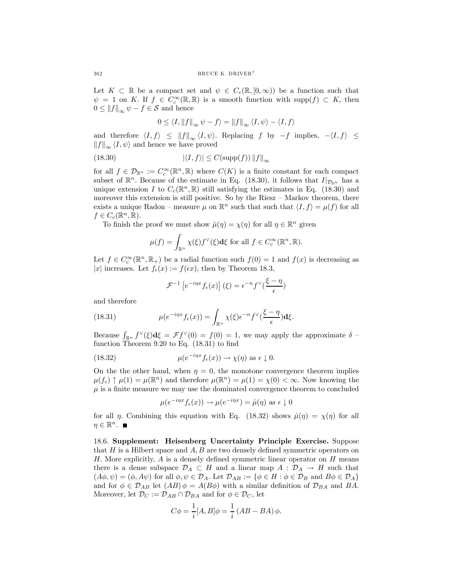Let  $K \subset \mathbb{R}$  be a compact set and  $\psi \in C_c(\mathbb{R}, [0,\infty))$  be a function such that  $\psi = 1$  on K. If  $f \in C_c^{\infty}(\mathbb{R}, \mathbb{R})$  is a smooth function with supp $(f) \subset K$ , then  $0 \leq ||f||_{\infty} \psi - f \in \mathcal{S}$  and hence

$$
0 \le \langle I, ||f||_{\infty} \psi - f \rangle = ||f||_{\infty} \langle I, \psi \rangle - \langle I, f \rangle
$$

and therefore  $\langle I,f \rangle \leq ||f||_{\infty} \langle I,\psi \rangle$ . Replacing f by  $-f$  implies,  $-\langle I,f \rangle \leq$  $||f||_{\infty} \langle I, \psi \rangle$  and hence we have proved

(18.30) 
$$
|\langle I, f \rangle| \le C(\mathrm{supp}(f)) \|f\|_{\infty}
$$

for all  $f \in \mathcal{D}_{\mathbb{R}^n} := C_c^{\infty}(\mathbb{R}^n, \mathbb{R})$  where  $C(K)$  is a finite constant for each compact subset of  $\mathbb{R}^n$ . Because of the estimate in Eq. (18.30), it follows that  $I|_{\mathcal{D}_{\mathbb{R}^n}}$  has a unique extension I to  $C_c(\mathbb{R}^n,\mathbb{R})$  still satisfying the estimates in Eq. (18.30) and moreover this extension is still positive. So by the Riesz — Markov theorem, there exists a unique Radon – measure  $\mu$  on  $\mathbb{R}^n$  such that such that  $\langle I, f \rangle = \mu(f)$  for all  $f \in C_c(\mathbb{R}^n, \mathbb{R}).$ 

To finish the proof we must show  $\hat{\mu}(\eta) = \chi(\eta)$  for all  $\eta \in \mathbb{R}^n$  given

$$
\mu(f) = \int_{\mathbb{R}^n} \chi(\xi) f^{\vee}(\xi) \mathbf{d}\xi \text{ for all } f \in C_c^{\infty}(\mathbb{R}^n, \mathbb{R}).
$$

Let  $f \in C_c^{\infty}(\mathbb{R}^n, \mathbb{R}_+)$  be a radial function such  $f(0) = 1$  and  $f(x)$  is decreasing as |x| increases. Let  $f_{\epsilon}(x) := f(\epsilon x)$ , then by Theorem 18.3,

$$
\mathcal{F}^{-1}\left[e^{-i\eta x}f_{\epsilon}(x)\right](\xi) = \epsilon^{-n}f^{\vee}(\frac{\xi - \eta}{\epsilon})
$$

and therefore

(18.31) 
$$
\mu(e^{-i\eta x}f_{\epsilon}(x)) = \int_{\mathbb{R}^n} \chi(\xi) e^{-n} f^{\vee}(\frac{\xi - \eta}{\epsilon}) d\xi.
$$

Because  $\int_{\mathbb{R}^n} f^\vee(\xi) d\xi = \mathcal{F} f^\vee(0) = f(0) = 1$ , we may apply the approximate  $\delta$ function Theorem 9.20 to Eq. (18.31) to find

(18.32) 
$$
\mu(e^{-i\eta x}f_{\epsilon}(x)) \to \chi(\eta) \text{ as } \epsilon \downarrow 0.
$$

On the the other hand, when  $\eta = 0$ , the monotone convergence theorem implies  $\mu(f_{\epsilon}) \uparrow \mu(1) = \mu(\mathbb{R}^n)$  and therefore  $\mu(\mathbb{R}^n) = \mu(1) = \chi(0) < \infty$ . Now knowing the  $\mu$  is a finite measure we may use the dominated convergence theorem to concluded

$$
\mu(e^{-i\eta x}f_{\epsilon}(x)) \to \mu(e^{-i\eta x}) = \hat{\mu}(\eta)
$$
 as  $\epsilon \downarrow 0$ 

for all  $\eta$ . Combining this equation with Eq. (18.32) shows  $\hat{\mu}(\eta) = \chi(\eta)$  for all  $\eta \in \mathbb{R}^n$ .

18.6. Supplement: Heisenberg Uncertainty Principle Exercise. Suppose that  $H$  is a Hilbert space and  $A, B$  are two densely defined symmetric operators on H. More explicitly,  $A$  is a densely defined symmetric linear operator on  $H$  means there is a dense subspace  $\mathcal{D}_A \subset H$  and a linear map  $A : \mathcal{D}_A \to H$  such that  $(A\phi, \psi)=(\phi, A\psi)$  for all  $\phi, \psi \in \mathcal{D}_A$ . Let  $\mathcal{D}_{AB} := \{\phi \in H : \phi \in \mathcal{D}_B \text{ and } B\phi \in \mathcal{D}_A\}$ and for  $\phi \in \mathcal{D}_{AB}$  let  $(AB)\phi = A(B\phi)$  with a similar definition of  $\mathcal{D}_{BA}$  and BA. Moreover, let  $\mathcal{D}_C := \mathcal{D}_{AB} \cap \mathcal{D}_{BA}$  and for  $\phi \in \mathcal{D}_C$ , let

$$
C\phi = \frac{1}{i}[A,B]\phi = \frac{1}{i}(AB - BA)\phi.
$$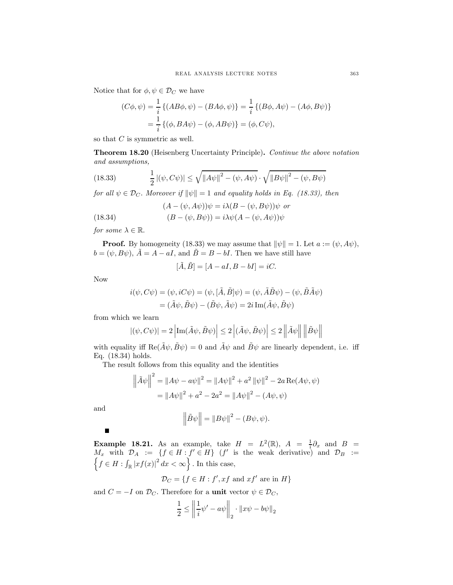Notice that for  $\phi, \psi \in \mathcal{D}_C$  we have

$$
(C\phi, \psi) = \frac{1}{i} \{ (AB\phi, \psi) - (BA\phi, \psi) \} = \frac{1}{i} \{ (B\phi, A\psi) - (A\phi, B\psi) \}
$$
  
=  $\frac{1}{i} \{ (\phi, BA\psi) - (\phi, AB\psi) \} = (\phi, C\psi),$ 

so that  $C$  is symmetric as well.

Theorem 18.20 (Heisenberg Uncertainty Principle). Continue the above notation and assumptions,

(18.33) 
$$
\frac{1}{2} |(\psi, C\psi)| \le \sqrt{||A\psi||^2 - (\psi, A\psi)} \cdot \sqrt{||B\psi||^2 - (\psi, B\psi)}
$$

for all  $\psi \in \mathcal{D}_C$ . Moreover if  $\|\psi\| = 1$  and equality holds in Eq. (18.33), then

$$
(A - (\psi, A\psi))\psi = i\lambda (B - (\psi, B\psi))\psi
$$
 or

(18.34) 
$$
(B - (\psi, B\psi)) = i\lambda\psi(A - (\psi, A\psi))\psi
$$

for some  $\lambda \in \mathbb{R}$ .

**Proof.** By homogeneity (18.33) we may assume that  $\|\psi\| = 1$ . Let  $a := (\psi, A\psi)$ ,  $b = (\psi, B\psi), \tilde{A} = A - aI$ , and  $\tilde{B} = B - bI$ . Then we have still have

$$
[\tilde{A}, \tilde{B}] = [A - aI, B - bI] = iC.
$$

Now

$$
i(\psi, C\psi) = (\psi, iC\psi) = (\psi, [\tilde{A}, \tilde{B}]\psi) = (\psi, \tilde{A}\tilde{B}\psi) - (\psi, \tilde{B}\tilde{A}\psi)
$$

$$
= (\tilde{A}\psi, \tilde{B}\psi) - (\tilde{B}\psi, \tilde{A}\psi) = 2i \operatorname{Im}(\tilde{A}\psi, \tilde{B}\psi)
$$

from which we learn

$$
|(\psi, C\psi)| = 2 \left| \text{Im}(\tilde{A}\psi, \tilde{B}\psi) \right| \le 2 \left| (\tilde{A}\psi, \tilde{B}\psi) \right| \le 2 \left\| \tilde{A}\psi \right\| \left\| \tilde{B}\psi \right\|
$$

with equality iff  $\text{Re}(\tilde{A}\psi, \tilde{B}\psi) = 0$  and  $\tilde{A}\psi$  and  $\tilde{B}\psi$  are linearly dependent, i.e. iff Eq. (18.34) holds.

The result follows from this equality and the identities

$$
\left\|\tilde{A}\psi\right\|^2 = \|A\psi - a\psi\|^2 = \|A\psi\|^2 + a^2 \|\psi\|^2 - 2a \operatorname{Re}(A\psi, \psi)
$$

$$
= \|A\psi\|^2 + a^2 - 2a^2 = \|A\psi\|^2 - (A\psi, \psi)
$$

and

 $\blacksquare$ 

$$
\left\|\tilde{B}\psi\right\| = \left\|B\psi\right\|^2 - (B\psi, \psi).
$$

**Example 18.21.** As an example, take  $H = L^2(\mathbb{R})$ ,  $A = \frac{1}{i}\partial_x$  and  $B =$  $M_x$  with  $\mathcal{D}_A := \{f \in H : f' \in H\}$  (f' is the weak derivative) and  $\mathcal{D}_B :=$ <br> $\{f \in H : f \mid \text{arfc}(x)\}^2 dx \leq \infty\}$ . In this ages  $f \in H : \int_{\mathbb{R}} |xf(x)|^2 dx < \infty$ . In this case,

$$
\mathcal{D}_C = \{ f \in H : f', xf \text{ and } xf' \text{ are in } H \}
$$

and  $C = -I$  on  $\mathcal{D}_C$ . Therefore for a unit vector  $\psi \in \mathcal{D}_C$ ,

$$
\frac{1}{2} \le \left\| \frac{1}{i} \psi' - a\psi \right\|_2 \cdot \|x\psi - b\psi\|_2
$$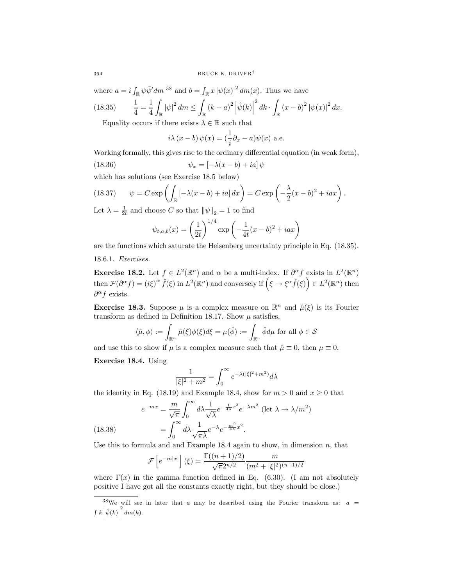where  $a = i \int_{\mathbb{R}} \psi \bar{\psi}' dm^{38}$  and  $b = \int_{\mathbb{R}} x |\psi(x)|^2 dm(x)$ . Thus we have

(18.35) <sup>1</sup> <sup>4</sup> <sup>=</sup> <sup>1</sup> 4 Z R |ψ| <sup>2</sup> dm <sup>≤</sup> Z R (k − a) 2 ¯ ¯ ¯ψˆ(k) ¯ ¯ ¯ 2 dk · R (x − b) <sup>2</sup> <sup>|</sup>ψ(x)<sup>|</sup> <sup>2</sup> dx.

Equality occurs if there exists  $\lambda \in \mathbb{R}$  such that

$$
i\lambda (x - b) \psi(x) = (\frac{1}{i}\partial_x - a)\psi(x)
$$
 a.e.

Working formally, this gives rise to the ordinary differential equation (in weak form),

(18.36) 
$$
\psi_x = \left[ -\lambda(x - b) + ia \right] \psi
$$

which has solutions (see Exercise 18.5 below)

(18.37) 
$$
\psi = C \exp \left( \int_{\mathbb{R}} \left[ -\lambda(x-b) + ia \right] dx \right) = C \exp \left( -\frac{\lambda}{2} (x-b)^2 + iax \right).
$$

Let  $\lambda = \frac{1}{2t}$  and choose C so that  $\|\psi\|_2 = 1$  to find

$$
\psi_{t,a,b}(x) = \left(\frac{1}{2t}\right)^{1/4} \exp\left(-\frac{1}{4t}(x-b)^2 + iax\right)
$$

are the functions which saturate the Heisenberg uncertainty principle in Eq. (18.35).

18.6.1. Exercises.

**Exercise 18.2.** Let  $f \in L^2(\mathbb{R}^n)$  and  $\alpha$  be a multi-index. If  $\partial^{\alpha} f$  exists in  $L^2(\mathbb{R}^n)$ then  $\mathcal{F}(\partial^{\alpha} f) = (i\xi)^{\alpha} \hat{f}(\xi)$  in  $L^2(\mathbb{R}^n)$  and conversely if  $(\xi \to \xi^{\alpha} \hat{f}(\xi)) \in L^2(\mathbb{R}^n)$  then  $\partial^{\alpha} f$  exists.

**Exercise 18.3.** Suppose  $\mu$  is a complex measure on  $\mathbb{R}^n$  and  $\hat{\mu}(\xi)$  is its Fourier transform as defined in Definition 18.17. Show  $\mu$  satisfies,

$$
\langle \hat{\mu}, \phi \rangle := \int_{\mathbb{R}^n} \hat{\mu}(\xi) \phi(\xi) d\xi = \mu(\hat{\phi}) := \int_{\mathbb{R}^n} \hat{\phi} d\mu \text{ for all } \phi \in \mathcal{S}
$$

and use this to show if  $\mu$  is a complex measure such that  $\hat{\mu} \equiv 0$ , then  $\mu \equiv 0$ .

Exercise 18.4. Using

$$
\frac{1}{|\xi|^2+m^2}=\int_0^\infty e^{-\lambda(|\xi|^2+m^2)}d\lambda
$$

the identity in Eq. (18.19) and Example 18.4, show for  $m > 0$  and  $x \ge 0$  that

(18.38) 
$$
e^{-mx} = \frac{m}{\sqrt{\pi}} \int_0^\infty d\lambda \frac{1}{\sqrt{\lambda}} e^{-\frac{1}{4\lambda}x^2} e^{-\lambda m^2} \left(\text{let } \lambda \to \lambda/m^2\right)
$$

$$
= \int_0^\infty d\lambda \frac{1}{\sqrt{\pi\lambda}} e^{-\lambda} e^{-\frac{m^2}{4\lambda}x^2}.
$$

Use this to formula and and Example  $18.4$  again to show, in dimension n, that

$$
\mathcal{F}\left[e^{-m|x|}\right](\xi) = \frac{\Gamma((n+1)/2)}{\sqrt{\pi}2^{n/2}} \frac{m}{(m^2 + |\xi|^2)^{(n+1)/2}}
$$

where  $\Gamma(x)$  in the gamma function defined in Eq. (6.30). (I am not absolutely positive I have got all the constants exactly right, but they should be close.)

<sup>&</sup>lt;sup>38</sup>We will see in later that a may be described using the Fourier transform as:  $a =$  $\int k \left| \hat{\psi}(k) \right|$  $2 \, dm(k)$ .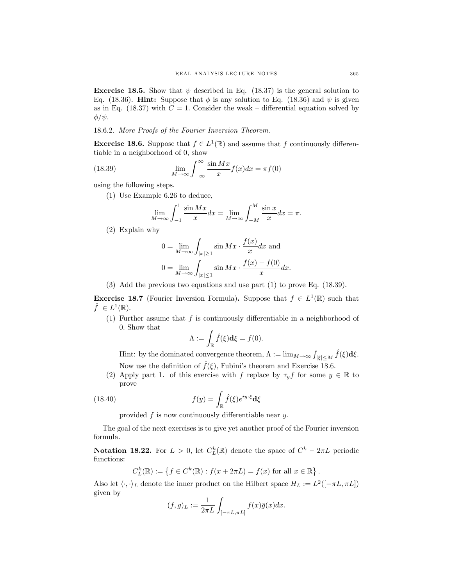**Exercise 18.5.** Show that  $\psi$  described in Eq. (18.37) is the general solution to Eq. (18.36). Hint: Suppose that  $\phi$  is any solution to Eq. (18.36) and  $\psi$  is given as in Eq. (18.37) with  $C = 1$ . Consider the weak – differential equation solved by  $φ/ψ.$ 

### 18.6.2. More Proofs of the Fourier Inversion Theorem.

**Exercise 18.6.** Suppose that  $f \in L^1(\mathbb{R})$  and assume that f continuously differentiable in a neighborhood of 0, show

(18.39) 
$$
\lim_{M \to \infty} \int_{-\infty}^{\infty} \frac{\sin Mx}{x} f(x) dx = \pi f(0)
$$

using the following steps.

(1) Use Example 6.26 to deduce,

$$
\lim_{M \to \infty} \int_{-1}^{1} \frac{\sin Mx}{x} dx = \lim_{M \to \infty} \int_{-M}^{M} \frac{\sin x}{x} dx = \pi.
$$

(2) Explain why

$$
0 = \lim_{M \to \infty} \int_{|x| \ge 1} \sin Mx \cdot \frac{f(x)}{x} dx \text{ and}
$$
  

$$
0 = \lim_{M \to \infty} \int_{|x| \le 1} \sin Mx \cdot \frac{f(x) - f(0)}{x} dx.
$$

(3) Add the previous two equations and use part (1) to prove Eq. (18.39).

**Exercise 18.7** (Fourier Inversion Formula). Suppose that  $f \in L^1(\mathbb{R})$  such that  $f \in L^1(\mathbb{R}).$ 

(1) Further assume that  $f$  is continuously differentiable in a neighborhood of 0. Show that

$$
\Lambda := \int_{\mathbb{R}} \hat{f}(\xi) \mathbf{d}\xi = f(0).
$$

Hint: by the dominated convergence theorem,  $\Lambda := \lim_{M \to \infty} \int_{|\xi| \le M} \hat{f}(\xi) d\xi$ . Now use the definition of  $\hat{f}(\xi)$ , Fubini's theorem and Exercise 18.6.

(2) Apply part 1. of this exercise with f replace by  $\tau_y f$  for some  $y \in \mathbb{R}$  to prove

(18.40) 
$$
f(y) = \int_{\mathbb{R}} \hat{f}(\xi) e^{iy \cdot \xi} d\xi
$$

provided  $f$  is now continuously differentiable near  $y$ .

The goal of the next exercises is to give yet another proof of the Fourier inversion formula.

**Notation 18.22.** For  $L > 0$ , let  $C_L^k(\mathbb{R})$  denote the space of  $C^k - 2\pi L$  periodic functions:

$$
C_L^k(\mathbb{R}) := \left\{ f \in C^k(\mathbb{R}) : f(x + 2\pi L) = f(x) \text{ for all } x \in \mathbb{R} \right\}.
$$

Also let  $\langle \cdot, \cdot \rangle_L$  denote the inner product on the Hilbert space  $H_L := L^2([-\pi L, \pi L])$ given by

$$
(f,g)_L := \frac{1}{2\pi L} \int_{[-\pi L, \pi L]} f(x)\bar{g}(x)dx.
$$